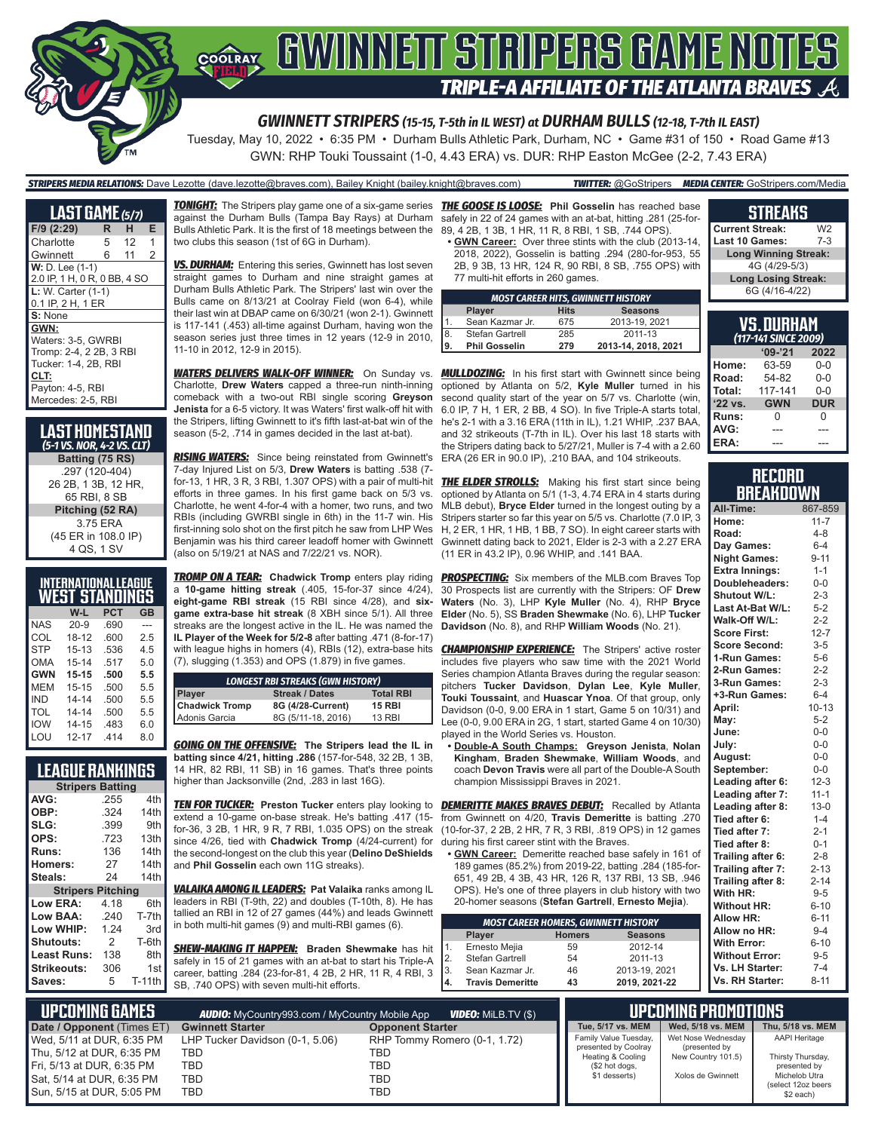

Tuesday, May 10, 2022 • 6:35 PM • Durham Bulls Athletic Park, Durham, NC • Game #31 of 150 • Road Game #13 GWN: RHP Touki Toussaint (1-0, 4.43 ERA) vs. DUR: RHP Easton McGee (2-2, 7.43 ERA)

### *STRIPERS MEDIA RELATIONS:* Dave Lezotte (dave.lezotte@braves.com), Bailey Knight (bailey.knight@braves.com) *TWITTER:* @GoStripers *MEDIA CENTER:* GoStripers.com/Media

| <b>LAST GAME (5/7)</b>       |    |    |   |  |
|------------------------------|----|----|---|--|
| F/9 (2:29)                   | R. | н  | Е |  |
| Charlotte                    | 5  | 12 | 1 |  |
| Gwinnett                     | 6  | 11 | 2 |  |
| $W: D. Lee (1-1)$            |    |    |   |  |
| 2.0 IP, 1 H, 0 R, 0 BB, 4 SO |    |    |   |  |
| L: W. Carter (1-1)           |    |    |   |  |
| 0.1 IP, 2 H, 1 ER            |    |    |   |  |
| S: None                      |    |    |   |  |
| GWN:                         |    |    |   |  |
| Waters: 3-5, GWRBI           |    |    |   |  |
| Tromp: 2-4, 2 2B, 3 RBI      |    |    |   |  |
| Tucker: 1-4, 2B, RBI         |    |    |   |  |
| CLT:                         |    |    |   |  |
| Payton: 4-5, RBI             |    |    |   |  |
| Mercedes: 2-5. RBI           |    |    |   |  |

**LAST HOMESTAND** *(5-1 VS. NOR, 4-2 VS. CLT)* **Batting (75 RS)** .297 (120-404) 26 2B, 1 3B, 12 HR, 65 RBI, 8 SB **Pitching (52 RA)** 3.75 ERA (45 ER in 108.0 IP) 4 QS, 1 SV

|            | INTERNATIONAL LEAGUE |            |     |
|------------|----------------------|------------|-----|
|            | WEST STANDINGS       |            |     |
|            | W-L                  | <b>PCT</b> | GB  |
| <b>NAS</b> | $20 - 9$             | .690       |     |
| COL        | 18-12                | .600       | 2.5 |
| STP.       | $15 - 13$            | .536       | 4.5 |
| <b>OMA</b> | $15 - 14$            | .517       | 5.0 |
| <b>GWN</b> | $15 - 15$            | .500       | 5.5 |
| MEM        | $15 - 15$            | .500       | 5.5 |
| IND        | $14 - 14$            | .500       | 5.5 |
| TOL        | $14 - 14$            | .500       | 5.5 |
| <b>IOW</b> | $14 - 15$            | .483       | 6.0 |
| LOU        | $12 - 17$            | .414       | 8.0 |

## **LEAGUE RANKINGS**

| <b>Stripers Batting</b>  |      |               |  |
|--------------------------|------|---------------|--|
| AVG:                     | .255 | 4th           |  |
| OBP:                     | .324 | 14th          |  |
| SLG:                     | .399 | 9th           |  |
| OPS:                     | .723 | 13th          |  |
| <b>Runs:</b>             | 136  | 14th          |  |
| <b>Homers:</b>           | 27   | 14th          |  |
| Steals:                  | 24   | 14th          |  |
| <b>Stripers Pitching</b> |      |               |  |
| Low ERA:                 | 4.18 | 6th           |  |
| Low BAA:                 | .240 | T-7th         |  |
| Low WHIP:                | 1.24 | 3rd           |  |
| <b>Shutouts:</b>         | 2    | T-6th         |  |
| <b>Least Runs:</b>       | 138  | 8th           |  |
| <b>Strikeouts:</b>       | 306  | 1st           |  |
| Saves:                   | 5    | <b>T-11th</b> |  |
|                          |      |               |  |

*TONIGHT:* The Stripers play game one of a six-game series *THE GOOSE IS LOOSE:* **Phil Gosselin** has reached base against the Durham Bulls (Tampa Bay Rays) at Durham Bulls Athletic Park. It is the first of 18 meetings between the 89, 4 2B, 1 3B, 1 HR, 11 R, 8 RBI, 1 SB, .744 OPS). two clubs this season (1st of 6G in Durham).

*VS. DURHAM:* Entering this series, Gwinnett has lost seven straight games to Durham and nine straight games at Durham Bulls Athletic Park. The Stripers' last win over the Bulls came on 8/13/21 at Coolray Field (won 6-4), while their last win at DBAP came on 6/30/21 (won 2-1). Gwinnett is 117-141 (.453) all-time against Durham, having won the season series just three times in 12 years (12-9 in 2010, 11-10 in 2012, 12-9 in 2015).

*WATERS DELIVERS WALK-OFF WINNER:* On Sunday vs. *MULLDOZING:* In his first start with Gwinnett since being Charlotte, **Drew Waters** capped a three-run ninth-inning comeback with a two-out RBI single scoring **Greyson Jenista** for a 6-5 victory. It was Waters' first walk-off hit with the Stripers, lifting Gwinnett to it's fifth last-at-bat win of the season (5-2, .714 in games decided in the last at-bat).

*RISING WATERS:* Since being reinstated from Gwinnett's ERA (26 ER in 90.0 IP), .210 BAA, and 104 strikeouts. 7-day Injured List on 5/3, **Drew Waters** is batting .538 (7 for-13, 1 HR, 3 R, 3 RBI, 1.307 OPS) with a pair of multi-hit efforts in three games. In his first game back on 5/3 vs. Charlotte, he went 4-for-4 with a homer, two runs, and two RBIs (including GWRBI single in 6th) in the 11-7 win. His first-inning solo shot on the first pitch he saw from LHP Wes Benjamin was his third career leadoff homer with Gwinnett (also on 5/19/21 at NAS and 7/22/21 vs. NOR).

*TROMP ON A TEAR:* **Chadwick Tromp** enters play riding a **10-game hitting streak** (.405, 15-for-37 since 4/24), **eight-game RBI streak** (15 RBI since 4/28), and **sixgame extra-base hit streak** (8 XBH since 5/1). All three streaks are the longest active in the IL. He was named the **IL Player of the Week for 5/2-8** after batting .471 (8-for-17) with league highs in homers (4), RBIs (12), extra-base hits (7), slugging (1.353) and OPS (1.879) in five games.

| <b>LONGEST RBI STREAKS (GWN HISTORY)</b>  |                       |                  |  |
|-------------------------------------------|-----------------------|------------------|--|
|                                           | <b>Streak / Dates</b> | <b>Total RBI</b> |  |
|                                           | 8G (4/28-Current)     | <b>15 RBI</b>    |  |
| Player<br>Chadwick Tromp<br>Adonis Garcia | 8G (5/11-18, 2016)    | <b>13 RBI</b>    |  |

*GOING ON THE OFFENSIVE:* **The Stripers lead the IL in batting since 4/21, hitting .286** (157-for-548, 32 2B, 1 3B, 14 HR, 82 RBI, 11 SB) in 16 games. That's three points higher than Jacksonville (2nd, .283 in last 16G).

extend a 10-game on-base streak. He's batting .417 (15 for-36, 3 2B, 1 HR, 9 R, 7 RBI, 1.035 OPS) on the streak since 4/26, tied with **Chadwick Tromp** (4/24-current) for the second-longest on the club this year (**Delino DeShields** and **Phil Gosselin** each own 11G streaks).

*VALAIKA AMONG IL LEADERS:* **Pat Valaika** ranks among IL leaders in RBI (T-9th, 22) and doubles (T-10th, 8). He has tallied an RBI in 12 of 27 games (44%) and leads Gwinnett in both multi-hit games (9) and multi-RBI games (6).

*SHEW-MAKING IT HAPPEN:* **Braden Shewmake** has hit safely in 15 of 21 games with an at-bat to start his Triple-A career, batting .284 (23-for-81, 4 2B, 2 HR, 11 R, 4 RBI, 3 SB, .740 OPS) with seven multi-hit efforts.

safely in 22 of 24 games with an at-bat, hitting .281 (25-for-

**• GWN Career:** Over three stints with the club (2013-14, 2018, 2022), Gosselin is batting .294 (280-for-953, 55 2B, 9 3B, 13 HR, 124 R, 90 RBI, 8 SB, .755 OPS) with 77 multi-hit efforts in 260 games.

| <b>MOST CAREER HITS, GWINNETT HISTORY</b> |                                                |     |                     |  |  |
|-------------------------------------------|------------------------------------------------|-----|---------------------|--|--|
|                                           | <b>Hits</b><br><b>Seasons</b><br><b>Player</b> |     |                     |  |  |
|                                           | Sean Kazmar Jr.                                | 675 | 2013-19, 2021       |  |  |
| ΄8.                                       | <b>Stefan Gartrell</b>                         | 285 | 2011-13             |  |  |
| Έ.                                        | <b>Phil Gosselin</b>                           | 279 | 2013-14, 2018, 2021 |  |  |

optioned by Atlanta on 5/2, **Kyle Muller** turned in his second quality start of the year on 5/7 vs. Charlotte (win, 6.0 IP, 7 H, 1 ER, 2 BB, 4 SO). In five Triple-A starts total, he's 2-1 with a 3.16 ERA (11th in IL), 1.21 WHIP, .237 BAA, and 32 strikeouts (T-7th in IL). Over his last 18 starts with the Stripers dating back to  $5/27/21$ . Muller is 7-4 with a 2.60

**THE ELDER STROLLS:** Making his first start since being optioned by Atlanta on 5/1 (1-3, 4.74 ERA in 4 starts during MLB debut), **Bryce Elder** turned in the longest outing by a Stripers starter so far this year on 5/5 vs. Charlotte (7.0 IP, 3 H, 2 ER, 1 HR, 1 HB, 1 BB, 7 SO). In eight career starts with Gwinnett dating back to 2021, Elder is 2-3 with a 2.27 ERA (11 ER in 43.2 IP), 0.96 WHIP, and .141 BAA.

**PROSPECTING:** Six members of the MLB.com Braves Top 30 Prospects list are currently with the Stripers: OF **Drew Waters** (No. 3), LHP **Kyle Muller** (No. 4), RHP **Bryce Elder** (No. 5), SS **Braden Shewmake** (No. 6), LHP **Tucker Davidson** (No. 8), and RHP **William Woods** (No. 21).

**CHAMPIONSHIP EXPERIENCE:** The Stripers' active roster includes five players who saw time with the 2021 World Series champion Atlanta Braves during the regular season: pitchers **Tucker Davidson**, **Dylan Lee**, **Kyle Muller**, **Touki Toussaint**, and **Huascar Ynoa**. Of that group, only Davidson (0-0, 9.00 ERA in 1 start, Game 5 on 10/31) and Lee (0-0, 9.00 ERA in 2G, 1 start, started Game 4 on 10/30) played in the World Series vs. Houston.

**• Double-A South Champs: Greyson Jenista**, **Nolan Kingham**, **Braden Shewmake**, **William Woods**, and coach **Devon Travis** were all part of the Double-A South champion Mississippi Braves in 2021.

*TEN FOR TUCKER:* **Preston Tucker** enters play looking to *DEMERITTE MAKES BRAVES DEBUT:* Recalled by Atlanta from Gwinnett on 4/20, **Travis Demeritte** is batting .270 (10-for-37, 2 2B, 2 HR, 7 R, 3 RBI, .819 OPS) in 12 games during his first career stint with the Braves.

**• GWN Career:** Demeritte reached base safely in 161 of 189 games (85.2%) from 2019-22, batting .284 (185-for-651, 49 2B, 4 3B, 43 HR, 126 R, 137 RBI, 13 SB, .946 OPS). He's one of three players in club history with two 20-homer seasons (**Stefan Gartrell**, **Ernesto Mejia**).

|    | <b>MOST CAREER HOMERS, GWINNETT HISTORY</b> |               |                |  |  |
|----|---------------------------------------------|---------------|----------------|--|--|
|    | Player                                      | <b>Homers</b> | <b>Seasons</b> |  |  |
| 1. | Ernesto Mejia                               | 59            | 2012-14        |  |  |
| 2. | Stefan Gartrell                             | 54            | 2011-13        |  |  |
| 3. | Sean Kazmar Jr.                             | 46            | 2013-19, 2021  |  |  |
| 4. | <b>Travis Demeritte</b>                     | 43            | 2019, 2021-22  |  |  |

### **STREAKS**

| <b>Current Streak:</b>      | W2      |  |
|-----------------------------|---------|--|
| <b>Last 10 Games:</b>       | $7 - 3$ |  |
| <b>Long Winning Streak:</b> |         |  |
| 4G (4/29-5/3)               |         |  |
| <b>Long Losing Streak:</b>  |         |  |
| 6G (4/16-4/22)              |         |  |

| <b>VS. DURHAM</b><br>(117-141 SINCE 2009) |            |            |  |  |
|-------------------------------------------|------------|------------|--|--|
| $9 - 21$<br>2022                          |            |            |  |  |
| Home:                                     | 63-59      | $0 - 0$    |  |  |
| Road:                                     | 54-82      | $0 - 0$    |  |  |
| Total:                                    | 117-141    | $0 - 0$    |  |  |
| $'22$ vs.                                 | <b>GWN</b> | <b>DUR</b> |  |  |
| Runs:                                     | U          | U          |  |  |
| AVG:                                      |            |            |  |  |
| ERA:                                      |            |            |  |  |

### **RECORD BREAKDOWN**

| All-Time:             | 867-859   |
|-----------------------|-----------|
| Home:                 | $11 - 7$  |
| Road:                 | $4 - 8$   |
| Day Games:            | $6 - 4$   |
| <b>Night Games:</b>   | $9 - 11$  |
| <b>Extra Innings:</b> | $1 - 1$   |
| Doubleheaders:        | $0-0$     |
| Shutout W/L:          | $2 - 3$   |
| Last At-Bat W/L:      | $5 - 2$   |
| Walk-Off W/L:         | $2 - 2$   |
| <b>Score First:</b>   | $12 - 7$  |
| <b>Score Second:</b>  | $3 - 5$   |
| 1-Run Games:          | $5-6$     |
| 2-Run Games:          | $2 - 2$   |
| 3-Run Games:          | $2 - 3$   |
| +3-Run Games:         | $6 - 4$   |
| April:                | $10 - 13$ |
| May:                  | $5 - 2$   |
| June:                 | $0-0$     |
| July:                 | $0-0$     |
| August:               | $0-0$     |
| September:            | $0 - 0$   |
| Leading after 6:      | $12 - 3$  |
| Leading after 7:      | $11 - 1$  |
| Leading after 8:      | $13 - 0$  |
| Tied after 6:         | $1 - 4$   |
| Tied after 7:         | $2 - 1$   |
| Tied after 8:         | $0 - 1$   |
| Trailing after 6:     | $2 - 8$   |
| Trailing after 7:     | $2 - 13$  |
| Trailing after 8:     | $2 - 14$  |
| With HR:              | $9 - 5$   |
| <b>Without HR:</b>    | $6 - 10$  |
| <b>Allow HR:</b>      | $6 - 11$  |
| Allow no HR:          | $9 - 4$   |
| <b>With Error:</b>    | $6 - 10$  |
| <b>Without Error:</b> | $9 - 5$   |
| Vs. LH Starter:       | $7 - 4$   |
| Vs. RH Starter:       | $8 - 11$  |

| Lupcoming Games I           | <b>AUDIO:</b> MyCountry993.com / MyCountry Mobile App | <b>VIDEO:</b> MILB.TV (\$)   |                                           | 'UPCOMING PROMOTIONS .              |                                  |
|-----------------------------|-------------------------------------------------------|------------------------------|-------------------------------------------|-------------------------------------|----------------------------------|
| Date / Opponent (Times ET)  | <b>Gwinnett Starter</b>                               | <b>Opponent Starter</b>      | Tue. 5/17 vs. MEM                         | Wed. 5/18 vs. MEM                   | Thu, 5/18 vs. MEM                |
| Wed, 5/11 at DUR, 6:35 PM   | LHP Tucker Davidson (0-1, 5.06)                       | RHP Tommy Romero (0-1, 1.72) | Family Value Tuesday,                     | Wet Nose Wednesday                  | <b>AAPI Heritage</b>             |
| Thu. 5/12 at DUR. 6:35 PM   | TBD                                                   | TBD                          | presented by Coolray<br>Heating & Cooling | (presented by<br>New Country 101.5) | Thirsty Thursday,                |
| l Fri. 5/13 at DUR. 6:35 PM | TBD                                                   | TBD                          | (\$2 hot dogs,                            |                                     | presented by                     |
| Sat, 5/14 at DUR, 6:35 PM   | TBD                                                   | TBD                          | \$1 desserts)                             | Xolos de Gwinnett                   | Michelob Utra                    |
| l Sun. 5/15 at DUR. 5:05 PM | TBD                                                   | TBD                          |                                           |                                     | (select 12oz beers<br>$$2$ each) |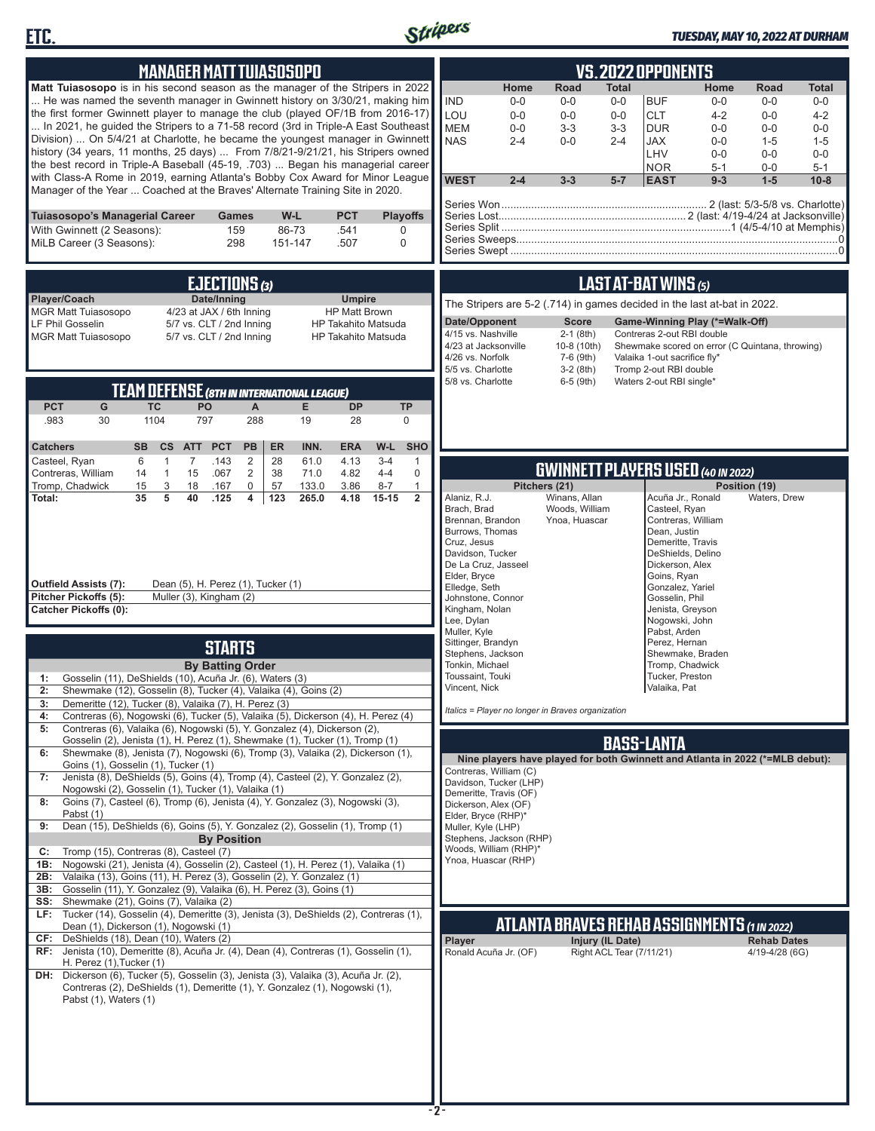



## *TUESDAY, MAY 10, 2022 AT DURHAM*

| <b>MANAGER MATT TUIASOSOPO</b>                                                                                                                                                                                                                                                                                                                                                                                                                                                                                                                                                                                                                                                                                                                                                                                                                                                                                                                                                                                        | <b>VS.2022 OPPONENTS</b>                                                                                                                                                                                                                                                                                                                                                                                                                                                                                                                                                                                                                                                         |
|-----------------------------------------------------------------------------------------------------------------------------------------------------------------------------------------------------------------------------------------------------------------------------------------------------------------------------------------------------------------------------------------------------------------------------------------------------------------------------------------------------------------------------------------------------------------------------------------------------------------------------------------------------------------------------------------------------------------------------------------------------------------------------------------------------------------------------------------------------------------------------------------------------------------------------------------------------------------------------------------------------------------------|----------------------------------------------------------------------------------------------------------------------------------------------------------------------------------------------------------------------------------------------------------------------------------------------------------------------------------------------------------------------------------------------------------------------------------------------------------------------------------------------------------------------------------------------------------------------------------------------------------------------------------------------------------------------------------|
| Matt Tuiasosopo is in his second season as the manager of the Stripers in 2022<br>He was named the seventh manager in Gwinnett history on 3/30/21, making him<br>the first former Gwinnett player to manage the club (played OF/1B from 2016-17)<br>In 2021, he guided the Stripers to a 71-58 record (3rd in Triple-A East Southeast<br>Division)  On 5/4/21 at Charlotte, he became the youngest manager in Gwinnett<br>history (34 years, 11 months, 25 days)  From 7/8/21-9/21/21, his Stripers owned<br>the best record in Triple-A Baseball (45-19, .703)  Began his managerial career<br>with Class-A Rome in 2019, earning Atlanta's Bobby Cox Award for Minor League<br>Manager of the Year  Coached at the Braves' Alternate Training Site in 2020.                                                                                                                                                                                                                                                         | Road<br><b>Total</b><br>Home<br><b>Total</b><br>Home<br>Road<br><b>IND</b><br>$0-0$<br><b>BUF</b><br>$0-0$<br>$0-0$<br>$0-0$<br>$0-0$<br>$0-0$<br>LOU<br>$0-0$<br>$0-0$<br>$0 - 0$<br><b>CLT</b><br>$4 - 2$<br>$0 - 0$<br>$4 - 2$<br><b>MEM</b><br>$0-0$<br>$3 - 3$<br>$3-3$<br><b>DUR</b><br>$0-0$<br>$0-0$<br>$0-0$<br><b>NAS</b><br>$2 - 4$<br>$0 - 0$<br>$2 - 4$<br><b>JAX</b><br>$0-0$<br>$1 - 5$<br>$1 - 5$<br>LHV<br>$0-0$<br>$0-0$<br>$0-0$<br><b>NOR</b><br>$5 - 1$<br>$0-0$<br>$5 - 1$<br><b>WEST</b><br>$2 - 4$<br>$3 - 3$<br>$5 - 7$<br><b>EAST</b><br>$9 - 3$<br>$1-5$<br>$10-8$                                                                                    |
| Tuiasosopo's Managerial Career<br>W-L<br><b>PCT</b><br><b>Playoffs</b><br>Games<br>With Gwinnett (2 Seasons):<br>159<br>86-73<br>.541<br>0<br>MiLB Career (3 Seasons):<br>298<br>151-147<br>$\mathbf 0$<br>.507                                                                                                                                                                                                                                                                                                                                                                                                                                                                                                                                                                                                                                                                                                                                                                                                       |                                                                                                                                                                                                                                                                                                                                                                                                                                                                                                                                                                                                                                                                                  |
| EJECTIONS (3)<br>Date/Inning<br>Player/Coach<br><b>Umpire</b><br>4/23 at JAX / 6th Inning<br><b>MGR Matt Tuiasosopo</b><br><b>HP Matt Brown</b><br>LF Phil Gosselin<br>5/7 vs. CLT / 2nd Inning<br><b>HP Takahito Matsuda</b><br><b>MGR Matt Tuiasosopo</b><br>5/7 vs. CLT / 2nd Inning<br>HP Takahito Matsuda<br><b>TEAM DEFENSE (8TH IN INTERNATIONAL LEAGUE)</b><br><b>PCT</b><br>G<br><b>TC</b><br>PO<br>A<br>E.<br><b>DP</b><br><b>TP</b><br>1104<br>288<br>.983<br>30<br>797<br>19<br>28<br>0<br>INN.<br><b>Catchers</b><br><b>SB</b><br><b>CS</b><br>ATT PCT<br><b>PB</b><br><b>ER</b><br><b>ERA</b><br>W-L<br><b>SHO</b>                                                                                                                                                                                                                                                                                                                                                                                      | LAST AT-BAT WINS (5)<br>The Stripers are 5-2 (.714) in games decided in the last at-bat in 2022.<br>Date/Opponent<br>Game-Winning Play (*=Walk-Off)<br><b>Score</b><br>4/15 vs. Nashville<br>$2-1$ (8th)<br>Contreras 2-out RBI double<br>4/23 at Jacksonville<br>10-8 (10th)<br>Shewmake scored on error (C Quintana, throwing)<br>4/26 vs. Norfolk<br>7-6 (9th)<br>Valaika 1-out sacrifice fly*<br>5/5 vs. Charlotte<br>$3-2(8th)$<br>Tromp 2-out RBI double<br>5/8 vs. Charlotte<br>$6-5$ (9th)<br>Waters 2-out RBI single*                                                                                                                                                   |
| 2<br>6<br>$\mathbf{1}$<br>$\overline{7}$<br>.143<br>28<br>61.0<br>$3 - 4$<br>Casteel, Ryan<br>4.13<br>$\mathbf{1}$<br>$\mathbf{2}$<br>$\mathbf 0$<br>Contreras, William<br>14<br>$\mathbf{1}$<br>15<br>.067<br>38<br>71.0<br>4.82<br>$4 - 4$<br>Tromp, Chadwick<br>15<br>3<br>18<br>0<br>57<br>133.0<br>$8 - 7$<br>$\mathbf{1}$<br>.167<br>3.86<br>35<br>5<br>40<br>4<br>123<br>$\overline{2}$<br>.125<br>265.0<br>4.18<br>$15 - 15$<br>Total:<br><b>Outfield Assists (7):</b><br>Dean (5), H. Perez (1), Tucker (1)<br>Muller (3), Kingham (2)<br>Pitcher Pickoffs (5):<br><b>Catcher Pickoffs (0):</b>                                                                                                                                                                                                                                                                                                                                                                                                              | <b>GWINNETT PLAYERS USED (40 IN 2022)</b><br>Pitchers (21)<br>Position (19)<br>Winans, Allan<br>Alaniz, R.J.<br>Acuña Jr., Ronald<br>Waters, Drew<br>Brach, Brad<br>Woods, William<br>Casteel, Ryan<br>Ynoa, Huascar<br>Contreras, William<br>Brennan, Brandon<br>Burrows, Thomas<br>Dean, Justin<br>Cruz, Jesus<br>Demeritte, Travis<br>Davidson, Tucker<br>DeShields, Delino<br>De La Cruz, Jasseel<br>Dickerson, Alex<br>Elder, Bryce<br>Goins, Ryan<br>Elledge, Seth<br>Gonzalez, Yariel<br>Johnstone, Connor<br>Gosselin, Phil<br>Kingham, Nolan<br>Jenista, Greyson<br>Lee, Dylan<br>Nogowski, John<br>Muller, Kyle<br>Pabst, Arden<br>Sittinger, Brandyn<br>Perez, Hernan |
| <b>STARTS</b><br><b>By Batting Order</b><br>Gosselin (11), DeShields (10), Acuña Jr. (6), Waters (3)<br>1:<br>2:<br>Shewmake (12), Gosselin (8), Tucker (4), Valaika (4), Goins (2)<br>3:<br>Demeritte (12), Tucker (8), Valaika (7), H. Perez (3)<br>Contreras (6), Nogowski (6), Tucker (5), Valaika (5), Dickerson (4), H. Perez (4)<br>4:<br>5:                                                                                                                                                                                                                                                                                                                                                                                                                                                                                                                                                                                                                                                                   | Stephens, Jackson<br>Shewmake, Braden<br>Tonkin, Michael<br>Tromp, Chadwick<br>Toussaint, Touki<br>Tucker, Preston<br>Vincent, Nick<br>Valaika, Pat<br>Italics = Player no longer in Braves organization                                                                                                                                                                                                                                                                                                                                                                                                                                                                         |
| Contreras (6), Valaika (6), Nogowski (5), Y. Gonzalez (4), Dickerson (2),<br>Gosselin (2), Jenista (1), H. Perez (1), Shewmake (1), Tucker (1), Tromp (1)<br>Shewmake (8), Jenista (7), Nogowski (6), Tromp (3), Valaika (2), Dickerson (1),<br>6:<br>Goins (1), Gosselin (1), Tucker (1)<br>Jenista (8), DeShields (5), Goins (4), Tromp (4), Casteel (2), Y. Gonzalez (2),<br>7:<br>Nogowski (2), Gosselin (1), Tucker (1), Valaika (1)<br>Goins (7), Casteel (6), Tromp (6), Jenista (4), Y. Gonzalez (3), Nogowski (3),<br>8:<br>Pabst (1)<br>Dean (15), DeShields (6), Goins (5), Y. Gonzalez (2), Gosselin (1), Tromp (1)<br>9:<br><b>By Position</b><br>Tromp (15), Contreras (8), Casteel (7)<br>C:<br>Nogowski (21), Jenista (4), Gosselin (2), Casteel (1), H. Perez (1), Valaika (1)<br>1B:<br>Valaika (13), Goins (11), H. Perez (3), Gosselin (2), Y. Gonzalez (1)<br>2B:<br>Gosselin (11), Y. Gonzalez (9), Valaika (6), H. Perez (3), Goins (1)<br>3B:<br>Shewmake (21), Goins (7), Valaika (2)<br>SS: | <b>BASS-LANTA</b><br>Nine players have played for both Gwinnett and Atlanta in 2022 (*=MLB debut):<br>Contreras, William (C)<br>Davidson, Tucker (LHP)<br>Demeritte, Travis (OF)<br>Dickerson, Alex (OF)<br>Elder, Bryce (RHP)*<br>Muller, Kyle (LHP)<br>Stephens, Jackson (RHP)<br>Woods, William (RHP)*<br>Ynoa, Huascar (RHP)                                                                                                                                                                                                                                                                                                                                                 |
| Tucker (14), Gosselin (4), Demeritte (3), Jenista (3), DeShields (2), Contreras (1),<br>LF:<br>Dean (1), Dickerson (1), Nogowski (1)<br>DeShields (18), Dean (10), Waters (2)<br>CF:<br>RF: Jenista (10), Demeritte (8), Acuña Jr. (4), Dean (4), Contreras (1), Gosselin (1),<br>H. Perez (1), Tucker (1)<br>DH: Dickerson (6), Tucker (5), Gosselin (3), Jenista (3), Valaika (3), Acuña Jr. (2),<br>Contreras (2), DeShields (1), Demeritte (1), Y. Gonzalez (1), Nogowski (1),<br>Pabst (1), Waters (1)                                                                                                                                                                                                                                                                                                                                                                                                                                                                                                           | ATLANTA BRAVES REHAB ASSIGNMENTS (1 IN 2022)<br>Player<br>Injury (IL Date)<br><b>Rehab Dates</b><br>Ronald Acuña Jr. (OF)<br>Right ACL Tear (7/11/21)<br>4/19-4/28 (6G)                                                                                                                                                                                                                                                                                                                                                                                                                                                                                                          |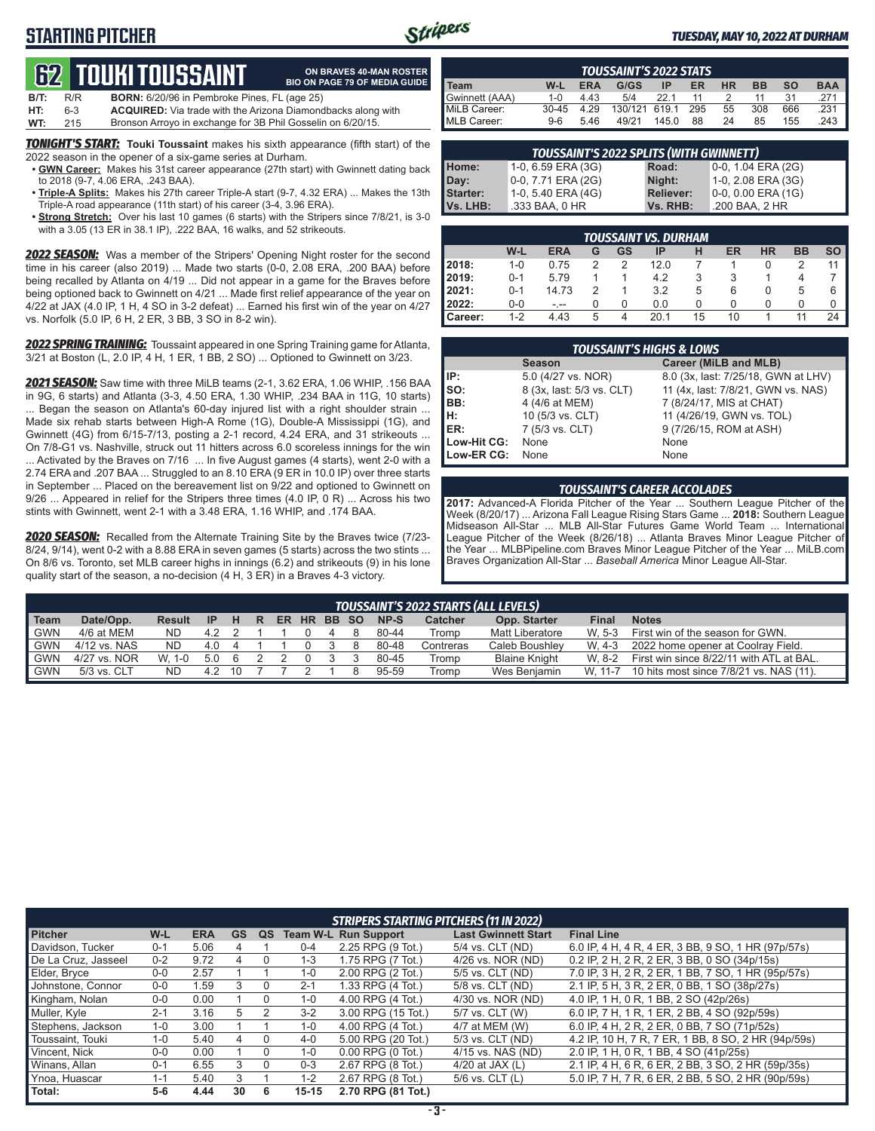## **STARTING PITCHER**



**ON BRAVES 40-MAN ROSTER**

### *TUESDAY, MAY 10, 2022 AT DURHAM*

# **62****TOUKI TOUSSAINT**

|      |     | tiz Tuun tuuunii                                                    | <b>BIO ON PAGE 79 OF MEDIA GUIDE</b> |
|------|-----|---------------------------------------------------------------------|--------------------------------------|
| B/T: | R/R | <b>BORN:</b> 6/20/96 in Pembroke Pines, FL (age 25)                 |                                      |
| HT:  | 6-3 | <b>ACQUIRED:</b> Via trade with the Arizona Diamondbacks along with |                                      |
| WT:  | 215 | Bronson Arroyo in exchange for 3B Phil Gosselin on 6/20/15.         |                                      |

*TONIGHT'S START:* **Touki Toussaint** makes his sixth appearance (fifth start) of the 2022 season in the opener of a six-game series at Durham.

- **• GWN Career:** Makes his 31st career appearance (27th start) with Gwinnett dating back to 2018 (9-7, 4.06 ERA, .243 BAA).
- **• Triple-A Splits:** Makes his 27th career Triple-A start (9-7, 4.32 ERA) ... Makes the 13th Triple-A road appearance (11th start) of his career (3-4, 3.96 ERA).
- **• Strong Stretch:** Over his last 10 games (6 starts) with the Stripers since 7/8/21, is 3-0 with a 3.05 (13 ER in 38.1 IP), .222 BAA, 16 walks, and 52 strikeouts.

*2022 SEASON:* Was a member of the Stripers' Opening Night roster for the second time in his career (also 2019) ... Made two starts (0-0, 2.08 ERA, .200 BAA) before being recalled by Atlanta on 4/19 ... Did not appear in a game for the Braves before being optioned back to Gwinnett on 4/21 ... Made first relief appearance of the year on 4/22 at JAX (4.0 IP, 1 H, 4 SO in 3-2 defeat) ... Earned his first win of the year on 4/27 vs. Norfolk (5.0 IP, 6 H, 2 ER, 3 BB, 3 SO in 8-2 win).

*2022 SPRING TRAINING:* Toussaint appeared in one Spring Training game for Atlanta, 3/21 at Boston (L, 2.0 IP, 4 H, 1 ER, 1 BB, 2 SO) ... Optioned to Gwinnett on 3/23.

*2021 SEASON:* Saw time with three MiLB teams (2-1, 3.62 ERA, 1.06 WHIP, .156 BAA in 9G, 6 starts) and Atlanta (3-3, 4.50 ERA, 1.30 WHIP, .234 BAA in 11G, 10 starts) ... Began the season on Atlanta's 60-day injured list with a right shoulder strain ... Made six rehab starts between High-A Rome (1G), Double-A Mississippi (1G), and Gwinnett (4G) from 6/15-7/13, posting a 2-1 record, 4.24 ERA, and 31 strikeouts ... On 7/8-G1 vs. Nashville, struck out 11 hitters across 6.0 scoreless innings for the win ... Activated by the Braves on 7/16 ... In five August games (4 starts), went 2-0 with a 2.74 ERA and .207 BAA ... Struggled to an 8.10 ERA (9 ER in 10.0 IP) over three starts in September ... Placed on the bereavement list on 9/22 and optioned to Gwinnett on 9/26 ... Appeared in relief for the Stripers three times (4.0 IP, 0 R) ... Across his two stints with Gwinnett, went 2-1 with a 3.48 ERA, 1.16 WHIP, and .174 BAA.

*2020 SEASON:* Recalled from the Alternate Training Site by the Braves twice (7/23- 8/24, 9/14), went 0-2 with a 8.88 ERA in seven games (5 starts) across the two stints ... On 8/6 vs. Toronto, set MLB career highs in innings (6.2) and strikeouts (9) in his lone quality start of the season, a no-decision (4 H, 3 ER) in a Braves 4-3 victory.

| <b>TOUSSAINT'S 2022 STATS</b> |           |            |               |           |     |    |           |           |            |  |  |
|-------------------------------|-----------|------------|---------------|-----------|-----|----|-----------|-----------|------------|--|--|
| Team                          | W-L       | <b>ERA</b> | G/GS          | <b>IP</b> | ER  | HR | <b>BB</b> | <b>SO</b> | <b>BAA</b> |  |  |
| Gwinnett (AAA)                | $1 - 0$   | 4 4 3      | 5/4           | 221       | 11  |    |           | 31        | .271       |  |  |
| MiLB Career:                  | $30 - 45$ | 4.29       | 130/121 619.1 |           | 295 | 55 | 308       | 666       | .231       |  |  |
| MLB Career:                   | 9-6       | 5.46       | 49/21         | 145.0     | 88  | 24 | 85        | 155       | 243        |  |  |

|                 | <b>TOUSSAINT'S 2022 SPLITS (WITH GWINNETT)</b> |                  |                    |  |  |  |  |  |  |  |  |
|-----------------|------------------------------------------------|------------------|--------------------|--|--|--|--|--|--|--|--|
| Home:           | 1-0, 6.59 ERA (3G)                             | Road:            | 0-0, 1.04 ERA (2G) |  |  |  |  |  |  |  |  |
| Day:            | 0-0, 7.71 ERA (2G)                             | Night:           | 1-0, 2.08 ERA (3G) |  |  |  |  |  |  |  |  |
| <b>Starter:</b> | 1-0, 5.40 ERA (4G)                             | <b>Reliever:</b> | 0-0, 0.00 ERA (1G) |  |  |  |  |  |  |  |  |
| Vs. LHB:        | .333 BAA, 0 HR                                 | Vs. RHB:         | .200 BAA, 2 HR     |  |  |  |  |  |  |  |  |
|                 |                                                |                  |                    |  |  |  |  |  |  |  |  |

|         | TOUSSAINT VS. DURHAM |            |   |    |      |    |    |           |           |    |  |  |  |
|---------|----------------------|------------|---|----|------|----|----|-----------|-----------|----|--|--|--|
|         | W-L                  | <b>ERA</b> | G | GS | IP   | н  | ER | <b>HR</b> | <b>BB</b> | SO |  |  |  |
| 2018:   | $1 - 0$              | 0.75       | 2 |    | 12.0 |    |    |           |           |    |  |  |  |
| 2019:   | $0 - 1$              | 5.79       |   |    | 4.2  | 3  | 3  |           |           |    |  |  |  |
| 2021:   | $0 - 1$              | 14.73      | っ |    | 3.2  | 5  | 6  | O         | 5         |    |  |  |  |
| 2022:   | $0-0$                | - --       | 0 | 0  | 0.0  |    |    |           | O         |    |  |  |  |
| Career: | $1 - 2$              | 4.43       | 5 | 4  | 20.1 | 15 | 10 |           |           | 24 |  |  |  |

|                                                                        | <b>TOUSSAINT'S HIGHS &amp; LOWS</b> |                                     |  |  |  |  |  |  |  |  |  |
|------------------------------------------------------------------------|-------------------------------------|-------------------------------------|--|--|--|--|--|--|--|--|--|
|                                                                        | <b>Season</b>                       | Career (MiLB and MLB)               |  |  |  |  |  |  |  |  |  |
| $\mathsf{IP}:$                                                         | 5.0 (4/27 vs. NOR)                  | 8.0 (3x, last: 7/25/18, GWN at LHV) |  |  |  |  |  |  |  |  |  |
| $\left  \begin{array}{c} \text{SO:} \\ \text{BB:} \end{array} \right $ | 8 (3x, last: 5/3 vs. CLT)           | 11 (4x, last: 7/8/21, GWN vs. NAS)  |  |  |  |  |  |  |  |  |  |
|                                                                        | 4 (4/6 at MEM)                      | 7 (8/24/17, MIS at CHAT)            |  |  |  |  |  |  |  |  |  |
| $\left  \begin{matrix} H_1 \\ ER_1 \end{matrix} \right $               | 10 (5/3 vs. CLT)                    | 11 (4/26/19, GWN vs. TOL)           |  |  |  |  |  |  |  |  |  |
|                                                                        | 7 (5/3 vs. CLT)                     | 9 (7/26/15, ROM at ASH)             |  |  |  |  |  |  |  |  |  |
| Low-Hit CG:                                                            | None                                | None                                |  |  |  |  |  |  |  |  |  |
| Low-ER CG:                                                             | None                                | None                                |  |  |  |  |  |  |  |  |  |

### *TOUSSAINT'S CAREER ACCOLADES*

**2017:** Advanced-A Florida Pitcher of the Year ... Southern League Pitcher of the Week (8/20/17) ... Arizona Fall League Rising Stars Game ... **2018:** Southern League Midseason All-Star ... MLB All-Star Futures Game World Team ... International League Pitcher of the Week (8/26/18) ... Atlanta Braves Minor League Pitcher of the Year ... MLBPipeline.com Braves Minor League Pitcher of the Year ... MiLB.com Braves Organization All-Star ... *Baseball America* Minor League All-Star.

|       | TOUSSAINT'S 2022 STARTS (ALL LEVELS)                                                                                                                   |        |     |    |  |  |  |                |   |       |           |                      |        |                                          |
|-------|--------------------------------------------------------------------------------------------------------------------------------------------------------|--------|-----|----|--|--|--|----------------|---|-------|-----------|----------------------|--------|------------------------------------------|
| Team  | Date/Opp.<br>NP-S<br>BB SO<br>Opp. Starter<br><b>HR</b><br><b>Catcher</b><br><b>Final</b><br><b>Notes</b><br>Result<br>н.<br>ER.<br>$\mathsf{IP}$<br>R |        |     |    |  |  |  |                |   |       |           |                      |        |                                          |
| I GWN | 4/6 at MEM                                                                                                                                             | ND.    | 4.2 |    |  |  |  | $\overline{a}$ | 8 | 80-44 | Tromp     | Matt Liberatore      | W. 5-3 | First win of the season for GWN.         |
| I GWN | 4/12 vs. NAS                                                                                                                                           | ND.    | 4 O |    |  |  |  |                |   | 80-48 | Contreras | Caleb Boushley       | W. 4-3 | 2022 home opener at Coolray Field.       |
| I GWN | 4/27 vs. NOR                                                                                                                                           | W. 1-0 | 5.0 | 6  |  |  |  |                |   | 80-45 | Tromp     | <b>Blaine Knight</b> | W. 8-2 | First win since 8/22/11 with ATL at BAL. |
| I GWN | 5/3 vs. CLT                                                                                                                                            | ND.    | 42  | 10 |  |  |  |                |   | 95-59 | Tromp     | Wes Beniamin         | W 11-7 | 10 hits most since 7/8/21 vs. NAS (11).  |

|                     |         |            |           |    |           | <b>STRIPERS STARTING PITCHERS (11 IN 2022)</b> |                            |                                                     |
|---------------------|---------|------------|-----------|----|-----------|------------------------------------------------|----------------------------|-----------------------------------------------------|
| <b>Pitcher</b>      | W-L     | <b>ERA</b> | <b>GS</b> | QS |           | <b>Team W-L Run Support</b>                    | <b>Last Gwinnett Start</b> | <b>Final Line</b>                                   |
| Davidson, Tucker    | $0 - 1$ | 5.06       |           |    | $0 - 4$   | 2.25 RPG (9 Tot.)                              | 5/4 vs. CLT (ND)           | 6.0 IP, 4 H, 4 R, 4 ER, 3 BB, 9 SO, 1 HR (97p/57s)  |
| De La Cruz. Jasseel | $0 - 2$ | 9.72       | 4         |    | 1-3       | 1.75 RPG (7 Tot.)                              | 4/26 vs. NOR (ND)          | 0.2 IP, 2 H, 2 R, 2 ER, 3 BB, 0 SO (34p/15s)        |
| Elder, Bryce        | $0-0$   | 2.57       |           |    | 1-0       | 2.00 RPG (2 Tot.)                              | 5/5 vs. CLT (ND)           | 7.0 IP, 3 H, 2 R, 2 ER, 1 BB, 7 SO, 1 HR (95p/57s)  |
| Johnstone, Connor   | $0 - 0$ | 1.59       | 3         |    | $2 - 1$   | 1.33 RPG (4 Tot.)                              | 5/8 vs. CLT (ND)           | 2.1 IP, 5 H, 3 R, 2 ER, 0 BB, 1 SO (38p/27s)        |
| Kingham, Nolan      | $0-0$   | 0.00       |           |    | $1 - 0$   | 4.00 RPG (4 Tot.)                              | 4/30 vs. NOR (ND)          | 4.0 IP, 1 H, 0 R, 1 BB, 2 SO (42p/26s)              |
| Muller, Kyle        | $2 - 1$ | 3.16       | 5         |    | $3-2$     | 3.00 RPG (15 Tot.)                             | 5/7 vs. CLT (W)            | 6.0 IP, 7 H, 1 R, 1 ER, 2 BB, 4 SO (92p/59s)        |
| Stephens, Jackson   | $1-0$   | 3.00       |           |    | $1 - 0$   | 4.00 RPG (4 Tot.)                              | 4/7 at MEM (W)             | 6.0 IP, 4 H, 2 R, 2 ER, 0 BB, 7 SO (71p/52s)        |
| Toussaint, Touki    | $1 - 0$ | 5.40       | 4         |    | $4 - 0$   | 5.00 RPG (20 Tot.)                             | 5/3 vs. CLT (ND)           | 4.2 IP, 10 H, 7 R, 7 ER, 1 BB, 8 SO, 2 HR (94p/59s) |
| Vincent, Nick       | $0 - 0$ | 0.00       |           | 0  | $1 - 0$   | $0.00$ RPG $(0$ Tot.)                          | 4/15 vs. NAS (ND)          | 2.0 IP, 1 H, 0 R, 1 BB, 4 SO (41p/25s)              |
| Winans, Allan       | $0 - 1$ | 6.55       | 3         | 0  | $0 - 3$   | 2.67 RPG (8 Tot.)                              | 4/20 at JAX $(L)$          | 2.1 IP, 4 H, 6 R, 6 ER, 2 BB, 3 SO, 2 HR (59p/35s)  |
| Ynoa, Huascar       | $1 - 1$ | 5.40       | 3         |    | $1 - 2$   | 2.67 RPG (8 Tot.)                              | $5/6$ vs. CLT $(L)$        | 5.0 IP, 7 H, 7 R, 6 ER, 2 BB, 5 SO, 2 HR (90p/59s)  |
| Total:              | $5-6$   | 4.44       | 30        | 6  | $15 - 15$ | 2.70 RPG (81 Tot.)                             |                            |                                                     |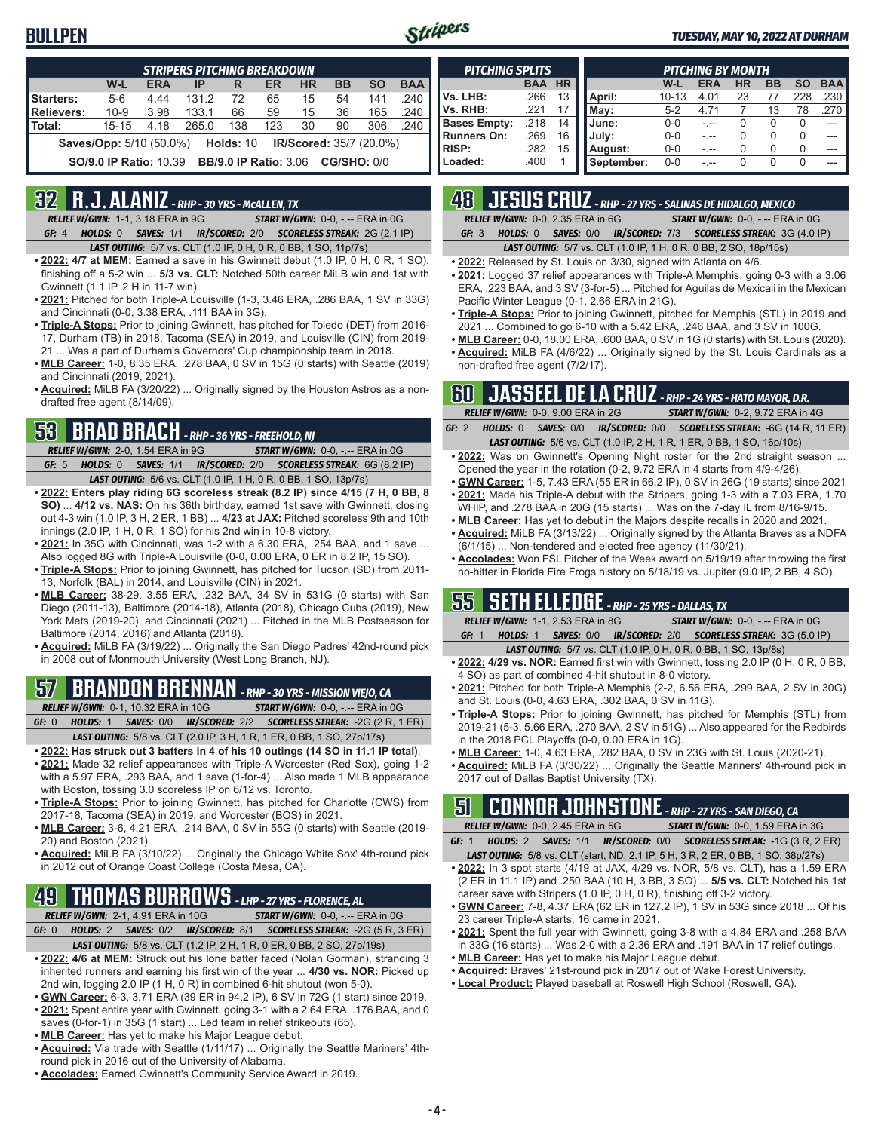## **BULLPEN**



### *TUESDAY, MAY 10, 2022 AT DURHAM*

|                                                                                   | <b>STRIPERS PITCHING BREAKDOWN</b> |            |       |                              |     |           |                    |           |            |  |  |  |
|-----------------------------------------------------------------------------------|------------------------------------|------------|-------|------------------------------|-----|-----------|--------------------|-----------|------------|--|--|--|
|                                                                                   | W-L                                | <b>ERA</b> | IP    | R                            | ER  | <b>HR</b> | <b>BB</b>          | <b>SO</b> | <b>BAA</b> |  |  |  |
| Starters:                                                                         | $5-6$                              | 4 4 4      | 131.2 | 72                           | 65  | 15        | 54                 | 141       | .240       |  |  |  |
| Relievers:                                                                        | $10-9$                             | 3.98       | 133.1 | 66                           | 59  | 15        | 36                 | 165       | .240       |  |  |  |
| l Total:                                                                          | $15 - 15$                          | 4.18       | 265.0 | 138                          | 123 | 30        | 90                 | 306       | .240       |  |  |  |
| <b>Saves/Opp:</b> 5/10 (50.0%) <b>Holds:</b> 10<br><b>IR/Scored: 35/7 (20.0%)</b> |                                    |            |       |                              |     |           |                    |           |            |  |  |  |
|                                                                                   | <b>SO/9.0 IP Ratio: 10.39</b>      |            |       | <b>BB/9.0 IP Ratio: 3.06</b> |     |           | <b>CG/SHO: 0/0</b> |           |            |  |  |  |

## **32 R.J. ALANIZ** *- RHP - 30 YRS - McALLEN, TX*

*RELIEF W/GWN:*1-1, 3.18 ERA in 9G *START W/GWN:*0-0, -.-- ERA in 0G *GF:*4 *HOLDS:*0 *SAVES:*1/1 *IR/SCORED:*2/0 *SCORELESS STREAK:*2G (2.1 IP)

*LAST OUTING:*5/7 vs. CLT (1.0 IP, 0 H, 0 R, 0 BB, 1 SO, 11p/7s)

- **• 2022: 4/7 at MEM:** Earned a save in his Gwinnett debut (1.0 IP, 0 H, 0 R, 1 SO), finishing off a 5-2 win ... **5/3 vs. CLT:** Notched 50th career MiLB win and 1st with Gwinnett (1.1 IP, 2 H in 11-7 win).
- **• 2021:** Pitched for both Triple-A Louisville (1-3, 3.46 ERA, .286 BAA, 1 SV in 33G) and Cincinnati (0-0, 3.38 ERA, .111 BAA in 3G).
- **• Triple-A Stops:** Prior to joining Gwinnett, has pitched for Toledo (DET) from 2016- 17, Durham (TB) in 2018, Tacoma (SEA) in 2019, and Louisville (CIN) from 2019- 21 ... Was a part of Durham's Governors' Cup championship team in 2018.
- **• MLB Career:** 1-0, 8.35 ERA, .278 BAA, 0 SV in 15G (0 starts) with Seattle (2019) and Cincinnati (2019, 2021).
- **• Acquired:** MiLB FA (3/20/22) ... Originally signed by the Houston Astros as a nondrafted free agent (8/14/09).

## **53 BRAD BRACH** *- RHP - 36 YRS - FREEHOLD, NJ*

*RELIEF W/GWN:*2-0, 1.54 ERA in 9G *START W/GWN:*0-0, -.-- ERA in 0G *GF:*5 *HOLDS:*0 *SAVES:*1/1 *IR/SCORED:*2/0 *SCORELESS STREAK:*6G (8.2 IP) *LAST OUTING:*5/6 vs. CLT (1.0 IP, 1 H, 0 R, 0 BB, 1 SO, 13p/7s)

- **• 2022: Enters play riding 6G scoreless streak (8.2 IP) since 4/15 (7 H, 0 BB, 8 SO)** ... **4/12 vs. NAS:** On his 36th birthday, earned 1st save with Gwinnett, closing out 4-3 win (1.0 IP, 3 H, 2 ER, 1 BB) ... **4/23 at JAX:** Pitched scoreless 9th and 10th innings (2.0 IP, 1 H, 0 R, 1 SO) for his 2nd win in 10-8 victory.
- **• 2021:** In 35G with Cincinnati, was 1-2 with a 6.30 ERA, .254 BAA, and 1 save ... Also logged 8G with Triple-A Louisville (0-0, 0.00 ERA, 0 ER in 8.2 IP, 15 SO).
- **• Triple-A Stops:** Prior to joining Gwinnett, has pitched for Tucson (SD) from 2011- 13, Norfolk (BAL) in 2014, and Louisville (CIN) in 2021.
- **• MLB Career:** 38-29, 3.55 ERA, .232 BAA, 34 SV in 531G (0 starts) with San Diego (2011-13), Baltimore (2014-18), Atlanta (2018), Chicago Cubs (2019), New York Mets (2019-20), and Cincinnati (2021) ... Pitched in the MLB Postseason for Baltimore (2014, 2016) and Atlanta (2018).
- **• Acquired:** MiLB FA (3/19/22) ... Originally the San Diego Padres' 42nd-round pick in 2008 out of Monmouth University (West Long Branch, NJ).

# **57 BRANDON BRENNAN** *- RHP - 30 YRS - MISSION VIEJO, CA*

*RELIEF W/GWN:*0-1, 10.32 ERA in 10G *START W/GWN:*0-0, -.-- ERA in 0G *GF:*0 *HOLDS:*1 *SAVES:*0/0 *IR/SCORED:*2/2 *SCORELESS STREAK:*-2G (2 R, 1 ER)

- *LAST OUTING:*5/8 vs. CLT (2.0 IP, 3 H, 1 R, 1 ER, 0 BB, 1 SO, 27p/17s)
- **• 2022: Has struck out 3 batters in 4 of his 10 outings (14 SO in 11.1 IP total)**. **• 2021:** Made 32 relief appearances with Triple-A Worcester (Red Sox), going 1-2 with a 5.97 ERA, .293 BAA, and 1 save (1-for-4) ... Also made 1 MLB appearance with Boston, tossing 3.0 scoreless IP on 6/12 vs. Toronto.
- **• Triple-A Stops:** Prior to joining Gwinnett, has pitched for Charlotte (CWS) from 2017-18, Tacoma (SEA) in 2019, and Worcester (BOS) in 2021.
- **• MLB Career:** 3-6, 4.21 ERA, .214 BAA, 0 SV in 55G (0 starts) with Seattle (2019- 20) and Boston (2021).
- **• Acquired:** MiLB FA (3/10/22) ... Originally the Chicago White Sox' 4th-round pick in 2012 out of Orange Coast College (Costa Mesa, CA).

# **49 THOMAS BURROWS** *- LHP - 27 YRS - FLORENCE, AL*

*RELIEF W/GWN:*2-1, 4.91 ERA in 10G *START W/GWN:*0-0, -.-- ERA in 0G

- *GF:*0 *HOLDS:*2 *SAVES:*0/2 *IR/SCORED:*8/1 *SCORELESS STREAK:*-2G (5 R, 3 ER) *LAST OUTING:*5/8 vs. CLT (1.2 IP, 2 H, 1 R, 0 ER, 0 BB, 2 SO, 27p/19s)
- **• 2022: 4/6 at MEM:** Struck out his lone batter faced (Nolan Gorman), stranding 3 inherited runners and earning his first win of the year ... **4/30 vs. NOR:** Picked up 2nd win, logging 2.0 IP (1 H, 0 R) in combined 6-hit shutout (won 5-0).
- **• GWN Career:** 6-3, 3.71 ERA (39 ER in 94.2 IP), 6 SV in 72G (1 start) since 2019.
- **• 2021:** Spent entire year with Gwinnett, going 3-1 with a 2.64 ERA, .176 BAA, and 0 saves (0-for-1) in 35G (1 start) ... Led team in relief strikeouts (65).
- **• MLB Career:** Has yet to make his Major League debut.
- **• Acquired:** Via trade with Seattle (1/11/17) ... Originally the Seattle Mariners' 4thround pick in 2016 out of the University of Alabama.
- **• Accolades:** Earned Gwinnett's Community Service Award in 2019.

| <b>PITCHING SPLITS</b> |            |           | PITCHING BY MONTH |           |            |           |           |        |                |  |  |
|------------------------|------------|-----------|-------------------|-----------|------------|-----------|-----------|--------|----------------|--|--|
|                        | <b>BAA</b> | <b>HR</b> |                   | W-L       | <b>ERA</b> | <b>HR</b> | <b>BB</b> | SΟ     | <b>BAA</b>     |  |  |
| Vs. LHB:               | .266       | 13        | April:            | $10 - 13$ | 4.01       | 23        |           | 228    | .230           |  |  |
| Vs. RHB:               | .221       |           | Mav:              | $5-2$     | 4 71       |           | 13        | 78     | .270           |  |  |
| <b>Bases Empty:</b>    | .218       | 14        | June:             | $0 - 0$   |            |           |           | $\cup$ | $\overline{a}$ |  |  |
| <b>Runners On:</b>     | .269       | 16        | July:             | $0 - 0$   |            |           |           | U      | ---            |  |  |
| <b>RISP:</b>           | .282       | 15        | August:           | $0 - 0$   | - --       |           |           | O      | ---            |  |  |
| Loaded:                | .400       |           | September:        | $0 - 0$   |            | O         | ი         | O      |                |  |  |

## **48 JESUS CRUZ** *- RHP - 27 YRS - SALINAS DE HIDALGO, MEXICO*

*RELIEF W/GWN:*0-0, 2.35 ERA in 6G *START W/GWN:*0-0, -.-- ERA in 0G

*GF:*3 *HOLDS:*0 *SAVES:*0/0 *IR/SCORED:*7/3 *SCORELESS STREAK:*3G (4.0 IP)

*LAST OUTING:*5/7 vs. CLT (1.0 IP, 1 H, 0 R, 0 BB, 2 SO, 18p/15s)

**• 2022:** Released by St. Louis on 3/30, signed with Atlanta on 4/6.

- **• 2021:** Logged 37 relief appearances with Triple-A Memphis, going 0-3 with a 3.06 ERA, .223 BAA, and 3 SV (3-for-5) ... Pitched for Aguilas de Mexicali in the Mexican Pacific Winter League (0-1, 2.66 ERA in 21G).
- **• Triple-A Stops:** Prior to joining Gwinnett, pitched for Memphis (STL) in 2019 and 2021 ... Combined to go 6-10 with a 5.42 ERA, .246 BAA, and 3 SV in 100G.
- **• MLB Career:** 0-0, 18.00 ERA, .600 BAA, 0 SV in 1G (0 starts) with St. Louis (2020).
- **• Acquired:** MiLB FA (4/6/22) ... Originally signed by the St. Louis Cardinals as a non-drafted free agent (7/2/17).

|  |                                          |  | <b>RU JASSEEL DE LA CRUZ</b> - RHP - 24 YRS - HATO MAYOR, D.R.                |  |
|--|------------------------------------------|--|-------------------------------------------------------------------------------|--|
|  | <b>RELIEF W/GWN: 0-0, 9.00 ERA in 2G</b> |  | <b>START W/GWN: 0-2, 9.72 ERA in 4G</b>                                       |  |
|  |                                          |  | GF: 2 HOLDS: 0 SAVES: 0/0 IR/SCORED: 0/0 SCORELESS STREAK: -6G (14 R, 11 ER)  |  |
|  |                                          |  | <b>LAST OUTING:</b> 5/6 vs. CLT (1.0 IP, 2 H, 1 R, 1 ER, 0 BB, 1 SO, 16p/10s) |  |

- **• 2022:** Was on Gwinnett's Opening Night roster for the 2nd straight season ... Opened the year in the rotation (0-2, 9.72 ERA in 4 starts from 4/9-4/26).
- **• GWN Career:** 1-5, 7.43 ERA (55 ER in 66.2 IP), 0 SV in 26G (19 starts) since 2021 **• 2021:** Made his Triple-A debut with the Stripers, going 1-3 with a 7.03 ERA, 1.70
- WHIP, and .278 BAA in 20G (15 starts) ... Was on the 7-day IL from 8/16-9/15. **• MLB Career:** Has yet to debut in the Majors despite recalls in 2020 and 2021.
- **• Acquired:** MiLB FA (3/13/22) ... Originally signed by the Atlanta Braves as a NDFA (6/1/15) ... Non-tendered and elected free agency (11/30/21).
- **• Accolades:** Won FSL Pitcher of the Week award on 5/19/19 after throwing the first no-hitter in Florida Fire Frogs history on 5/18/19 vs. Jupiter (9.0 IP, 2 BB, 4 SO).

## **55 SETH ELLEDGE** *- RHP - 25 YRS - DALLAS, TX*

*RELIEF W/GWN:*1-1, 2.53 ERA in 8G *START W/GWN:*0-0, -.-- ERA in 0G *GF:*1 *HOLDS:*1 *SAVES:*0/0 *IR/SCORED:*2/0 *SCORELESS STREAK:*3G (5.0 IP)

- *LAST OUTING:*5/7 vs. CLT (1.0 IP, 0 H, 0 R, 0 BB, 1 SO, 13p/8s) **• 2022: 4/29 vs. NOR:** Earned first win with Gwinnett, tossing 2.0 IP (0 H, 0 R, 0 BB, 4 SO) as part of combined 4-hit shutout in 8-0 victory.
- **• 2021:** Pitched for both Triple-A Memphis (2-2, 6.56 ERA, .299 BAA, 2 SV in 30G) and St. Louis (0-0, 4.63 ERA, .302 BAA, 0 SV in 11G).
- **• Triple-A Stops:** Prior to joining Gwinnett, has pitched for Memphis (STL) from 2019-21 (5-3, 5.66 ERA, .270 BAA, 2 SV in 51G) ... Also appeared for the Redbirds in the 2018 PCL Playoffs (0-0, 0.00 ERA in 1G).
- **• MLB Career:** 1-0, 4.63 ERA, .282 BAA, 0 SV in 23G with St. Louis (2020-21).
- **• Acquired:** MiLB FA (3/30/22) ... Originally the Seattle Mariners' 4th-round pick in 2017 out of Dallas Baptist University (TX).

## **51 CONNOR JOHNSTONE** *- RHP - 27 YRS - SAN DIEGO, CA*

*RELIEF W/GWN:*0-0, 2.45 ERA in 5G *START W/GWN:*0-0, 1.59 ERA in 3G *GF:*1 *HOLDS:*2 *SAVES:*1/1 *IR/SCORED:*0/0 *SCORELESS STREAK:*-1G (3 R, 2 ER)

- *LAST OUTING:*5/8 vs. CLT (start, ND, 2.1 IP, 5 H, 3 R, 2 ER, 0 BB, 1 SO, 38p/27s) **• 2022:** In 3 spot starts (4/19 at JAX, 4/29 vs. NOR, 5/8 vs. CLT), has a 1.59 ERA
- (2 ER in 11.1 IP) and .250 BAA (10 H, 3 BB, 3 SO) ... **5/5 vs. CLT:** Notched his 1st career save with Stripers (1.0 IP, 0 H, 0 R), finishing off 3-2 victory.
- **• GWN Career:** 7-8, 4.37 ERA (62 ER in 127.2 IP), 1 SV in 53G since 2018 ... Of his 23 career Triple-A starts, 16 came in 2021.
- **• 2021:** Spent the full year with Gwinnett, going 3-8 with a 4.84 ERA and .258 BAA in 33G (16 starts) ... Was 2-0 with a 2.36 ERA and .191 BAA in 17 relief outings.
- **• MLB Career:** Has yet to make his Major League debut.
- **• Acquired:** Braves' 21st-round pick in 2017 out of Wake Forest University.
- **• Local Product:** Played baseball at Roswell High School (Roswell, GA).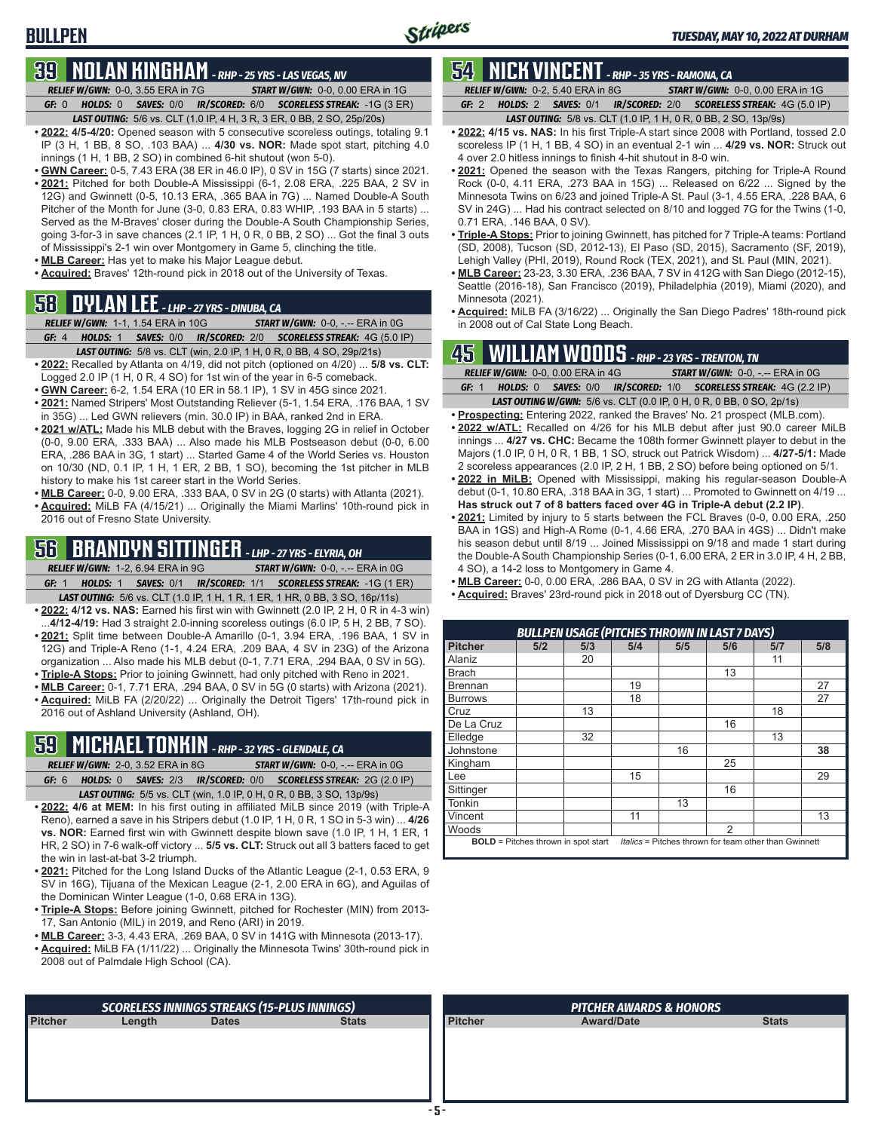## **BULLPEN**

## **39 NOLAN KINGHAM** *- RHP - 25 YRS - LAS VEGAS, NV*

*RELIEF W/GWN:*0-0, 3.55 ERA in 7G *START W/GWN:*0-0, 0.00 ERA in 1G *GF:*0 *HOLDS:*0 *SAVES:*0/0 *IR/SCORED:*6/0 *SCORELESS STREAK:*-1G (3 ER) *LAST OUTING:*5/6 vs. CLT (1.0 IP, 4 H, 3 R, 3 ER, 0 BB, 2 SO, 25p/20s)

- **• 2022: 4/5-4/20:** Opened season with 5 consecutive scoreless outings, totaling 9.1 IP (3 H, 1 BB, 8 SO, .103 BAA) ... **4/30 vs. NOR:** Made spot start, pitching 4.0 innings (1 H, 1 BB, 2 SO) in combined 6-hit shutout (won 5-0).
- **• GWN Career:** 0-5, 7.43 ERA (38 ER in 46.0 IP), 0 SV in 15G (7 starts) since 2021. • 2021: Pitched for both Double-A Mississippi (6-1, 2.08 ERA, .225 BAA, 2 SV in 12G) and Gwinnett (0-5, 10.13 ERA, .365 BAA in 7G) ... Named Double-A South Pitcher of the Month for June (3-0, 0.83 ERA, 0.83 WHIP, .193 BAA in 5 starts) ... Served as the M-Braves' closer during the Double-A South Championship Series, going 3-for-3 in save chances (2.1 IP, 1 H, 0 R, 0 BB, 2 SO) ... Got the final 3 outs of Mississippi's 2-1 win over Montgomery in Game 5, clinching the title.
- **• MLB Career:** Has yet to make his Major League debut.
- **• Acquired:** Braves' 12th-round pick in 2018 out of the University of Texas.

# **58 DYLAN LEE** *- LHP - 27 YRS - DINUBA, CA*

- *RELIEF W/GWN:*1-1, 1.54 ERA in 10G *START W/GWN:*0-0, -.-- ERA in 0G *GF:*4 *HOLDS:*1 *SAVES:*0/0 *IR/SCORED:*2/0 *SCORELESS STREAK:*4G (5.0 IP)
- *LAST OUTING:*5/8 vs. CLT (win, 2.0 IP, 1 H, 0 R, 0 BB, 4 SO, 29p/21s) **• 2022:** Recalled by Atlanta on 4/19, did not pitch (optioned on 4/20) ... **5/8 vs. CLT:**
- Logged 2.0 IP (1 H, 0 R, 4 SO) for 1st win of the year in 6-5 comeback.
- **• GWN Career:** 6-2, 1.54 ERA (10 ER in 58.1 IP), 1 SV in 45G since 2021.
- **• 2021:** Named Stripers' Most Outstanding Reliever (5-1, 1.54 ERA, .176 BAA, 1 SV in 35G) ... Led GWN relievers (min. 30.0 IP) in BAA, ranked 2nd in ERA.
- **• 2021 w/ATL:** Made his MLB debut with the Braves, logging 2G in relief in October (0-0, 9.00 ERA, .333 BAA) ... Also made his MLB Postseason debut (0-0, 6.00 ERA, .286 BAA in 3G, 1 start) ... Started Game 4 of the World Series vs. Houston on 10/30 (ND, 0.1 IP, 1 H, 1 ER, 2 BB, 1 SO), becoming the 1st pitcher in MLB history to make his 1st career start in the World Series.
- **• MLB Career:** 0-0, 9.00 ERA, .333 BAA, 0 SV in 2G (0 starts) with Atlanta (2021).
- **• Acquired:** MiLB FA (4/15/21) ... Originally the Miami Marlins' 10th-round pick in 2016 out of Fresno State University.

## **56 BRANDYN SITTINGER** *- LHP - 27 YRS - ELYRIA, OH*

*RELIEF W/GWN:*1-2, 6.94 ERA in 9G *START W/GWN:*0-0, -.-- ERA in 0G *GF:*1 *HOLDS:*1 *SAVES:*0/1 *IR/SCORED:*1/1 *SCORELESS STREAK:*-1G (1 ER)

- *LAST OUTING:*5/6 vs. CLT (1.0 IP, 1 H, 1 R, 1 ER, 1 HR, 0 BB, 3 SO, 16p/11s) **• 2022: 4/12 vs. NAS:** Earned his first win with Gwinnett (2.0 IP, 2 H, 0 R in 4-3 win) ...**4/12-4/19:** Had 3 straight 2.0-inning scoreless outings (6.0 IP, 5 H, 2 BB, 7 SO).
- **• 2021:** Split time between Double-A Amarillo (0-1, 3.94 ERA, .196 BAA, 1 SV in 12G) and Triple-A Reno (1-1, 4.24 ERA, .209 BAA, 4 SV in 23G) of the Arizona organization ... Also made his MLB debut (0-1, 7.71 ERA, .294 BAA, 0 SV in 5G).
- **• Triple-A Stops:** Prior to joining Gwinnett, had only pitched with Reno in 2021.
- **• MLB Career:** 0-1, 7.71 ERA, .294 BAA, 0 SV in 5G (0 starts) with Arizona (2021). **• Acquired:** MiLB FA (2/20/22) ... Originally the Detroit Tigers' 17th-round pick in
- 2016 out of Ashland University (Ashland, OH).

## **59 MICHAEL TONKIN** *- RHP - 32 YRS - GLENDALE, CA*

*RELIEF W/GWN:*2-0, 3.52 ERA in 8G *START W/GWN:*0-0, -.-- ERA in 0G *GF:*6 *HOLDS:*0 *SAVES:*2/3 *IR/SCORED:*0/0 *SCORELESS STREAK:*2G (2.0 IP)

- *LAST OUTING:*5/5 vs. CLT (win, 1.0 IP, 0 H, 0 R, 0 BB, 3 SO, 13p/9s) **• 2022: 4/6 at MEM:** In his first outing in affiliated MiLB since 2019 (with Triple-A Reno), earned a save in his Stripers debut (1.0 IP, 1 H, 0 R, 1 SO in 5-3 win) ... **4/26 vs. NOR:** Earned first win with Gwinnett despite blown save (1.0 IP, 1 H, 1 ER, 1 HR, 2 SO) in 7-6 walk-off victory ... **5/5 vs. CLT:** Struck out all 3 batters faced to get the win in last-at-bat 3-2 triumph.
- **• 2021:** Pitched for the Long Island Ducks of the Atlantic League (2-1, 0.53 ERA, 9 SV in 16G), Tijuana of the Mexican League (2-1, 2.00 ERA in 6G), and Aguilas of the Dominican Winter League (1-0, 0.68 ERA in 13G).
- **• Triple-A Stops:** Before joining Gwinnett, pitched for Rochester (MIN) from 2013- 17, San Antonio (MIL) in 2019, and Reno (ARI) in 2019.
- **• MLB Career:** 3-3, 4.43 ERA, .269 BAA, 0 SV in 141G with Minnesota (2013-17).
- **• Acquired:** MiLB FA (1/11/22) ... Originally the Minnesota Twins' 30th-round pick in 2008 out of Palmdale High School (CA).

|                |        | <b>SCORELESS INNINGS STREAKS (15-PLUS INNINGS)</b> |              |                | <b>PITCHER AWARDS &amp; HONORS</b> |              |
|----------------|--------|----------------------------------------------------|--------------|----------------|------------------------------------|--------------|
| <b>Pitcher</b> | Length | <b>Dates</b>                                       | <b>Stats</b> | <b>Pitcher</b> | <b>Award/Date</b>                  | <b>Stats</b> |
|                |        |                                                    |              |                |                                    |              |
|                |        |                                                    |              |                |                                    |              |
|                |        |                                                    |              |                |                                    |              |
|                |        |                                                    |              |                |                                    |              |

## **54 NICK VINCENT** *- RHP - 35 YRS - RAMONA, CA*

*RELIEF W/GWN:*0-2, 5.40 ERA in 8G *START W/GWN:*0-0, 0.00 ERA in 1G *GF:*2 *HOLDS:*2 *SAVES:*0/1 *IR/SCORED:*2/0 *SCORELESS STREAK:*4G (5.0 IP)

- *LAST OUTING:*5/8 vs. CLT (1.0 IP, 1 H, 0 R, 0 BB, 2 SO, 13p/9s)
- **• 2022: 4/15 vs. NAS:** In his first Triple-A start since 2008 with Portland, tossed 2.0 scoreless IP (1 H, 1 BB, 4 SO) in an eventual 2-1 win ... **4/29 vs. NOR:** Struck out 4 over 2.0 hitless innings to finish 4-hit shutout in 8-0 win.
- **• 2021:** Opened the season with the Texas Rangers, pitching for Triple-A Round Rock (0-0, 4.11 ERA, .273 BAA in 15G) ... Released on 6/22 ... Signed by the Minnesota Twins on 6/23 and joined Triple-A St. Paul (3-1, 4.55 ERA, .228 BAA, 6 SV in 24G) ... Had his contract selected on 8/10 and logged 7G for the Twins (1-0, 0.71 ERA, .146 BAA, 0 SV).
- **• Triple-A Stops:** Prior to joining Gwinnett, has pitched for 7 Triple-A teams: Portland (SD, 2008), Tucson (SD, 2012-13), El Paso (SD, 2015), Sacramento (SF, 2019), Lehigh Valley (PHI, 2019), Round Rock (TEX, 2021), and St. Paul (MIN, 2021).
- **• MLB Career:** 23-23, 3.30 ERA, .236 BAA, 7 SV in 412G with San Diego (2012-15), Seattle (2016-18), San Francisco (2019), Philadelphia (2019), Miami (2020), and Minnesota (2021).
- **• Acquired:** MiLB FA (3/16/22) ... Originally the San Diego Padres' 18th-round pick in 2008 out of Cal State Long Beach.

## **45 WILLIAM WOODS** *- RHP - 23 YRS - TRENTON, TN*

|       | <b>RELIEF W/GWN: 0-0, 0.00 ERA in 4G</b> |  | <b>START W/GWN: 0-0, -.-- ERA in 0G</b>                                     |                                                                  |  |  |  |
|-------|------------------------------------------|--|-----------------------------------------------------------------------------|------------------------------------------------------------------|--|--|--|
| GF: 1 |                                          |  |                                                                             | HOLDS: 0 SAVES: 0/0 IR/SCORED: 1/0 SCORELESS STREAK: 4G (2.2 IP) |  |  |  |
|       |                                          |  | <b>LAST OUTING W/GWN:</b> 5/6 vs. CLT (0.0 IP, 0 H, 0 R, 0 BB, 0 SO, 2p/1s) |                                                                  |  |  |  |

- **• Prospecting:** Entering 2022, ranked the Braves' No. 21 prospect (MLB.com). **• 2022 w/ATL:** Recalled on 4/26 for his MLB debut after just 90.0 career MiLB innings ... **4/27 vs. CHC:** Became the 108th former Gwinnett player to debut in the Majors (1.0 IP, 0 H, 0 R, 1 BB, 1 SO, struck out Patrick Wisdom) ... **4/27-5/1:** Made
- 2 scoreless appearances (2.0 IP, 2 H, 1 BB, 2 SO) before being optioned on 5/1. **• 2022 in MiLB:** Opened with Mississippi, making his regular-season Double-A debut (0-1, 10.80 ERA, .318 BAA in 3G, 1 start) ... Promoted to Gwinnett on 4/19 ... **Has struck out 7 of 8 batters faced over 4G in Triple-A debut (2.2 IP)**.
- **• 2021:** Limited by injury to 5 starts between the FCL Braves (0-0, 0.00 ERA, .250 BAA in 1GS) and High-A Rome (0-1, 4.66 ERA, .270 BAA in 4GS) ... Didn't make his season debut until 8/19 ... Joined Mississippi on 9/18 and made 1 start during the Double-A South Championship Series (0-1, 6.00 ERA, 2 ER in 3.0 IP, 4 H, 2 BB, 4 SO), a 14-2 loss to Montgomery in Game 4.
- **• MLB Career:** 0-0, 0.00 ERA, .286 BAA, 0 SV in 2G with Atlanta (2022).
- **• Acquired:** Braves' 23rd-round pick in 2018 out of Dyersburg CC (TN).

|                                       |                                            |     |     |     |                                                       | <b>BULLPEN USAGE (PITCHES THROWN IN LAST 7 DAYS)</b> |     |  |  |  |  |  |  |  |  |  |  |
|---------------------------------------|--------------------------------------------|-----|-----|-----|-------------------------------------------------------|------------------------------------------------------|-----|--|--|--|--|--|--|--|--|--|--|
| <b>Pitcher</b>                        | 5/2                                        | 5/3 | 5/4 | 5/5 | 5/6                                                   | 5/7                                                  | 5/8 |  |  |  |  |  |  |  |  |  |  |
| Alaniz                                |                                            | 20  |     |     |                                                       | 11                                                   |     |  |  |  |  |  |  |  |  |  |  |
| Brach                                 |                                            |     |     |     | 13                                                    |                                                      |     |  |  |  |  |  |  |  |  |  |  |
| l Brennan                             |                                            |     | 19  |     |                                                       |                                                      | 27  |  |  |  |  |  |  |  |  |  |  |
| <b>Burrows</b>                        |                                            |     | 18  |     |                                                       |                                                      | 27  |  |  |  |  |  |  |  |  |  |  |
| Cruz<br>13<br>18                      |                                            |     |     |     |                                                       |                                                      |     |  |  |  |  |  |  |  |  |  |  |
| De La Cruz                            |                                            |     |     |     | 16                                                    |                                                      |     |  |  |  |  |  |  |  |  |  |  |
| Elledge                               |                                            | 32  |     |     |                                                       | 13                                                   |     |  |  |  |  |  |  |  |  |  |  |
| Johnstone                             |                                            |     |     | 16  |                                                       |                                                      | 38  |  |  |  |  |  |  |  |  |  |  |
| Kingham                               |                                            |     |     |     | 25                                                    |                                                      |     |  |  |  |  |  |  |  |  |  |  |
| $\overline{\lceil \text{Lee} \rceil}$ |                                            |     | 15  |     |                                                       |                                                      | 29  |  |  |  |  |  |  |  |  |  |  |
| Sittinger                             |                                            |     |     |     | 16                                                    |                                                      |     |  |  |  |  |  |  |  |  |  |  |
| l Tonkin                              |                                            |     |     | 13  |                                                       |                                                      |     |  |  |  |  |  |  |  |  |  |  |
| Vincent                               |                                            |     | 11  |     |                                                       |                                                      | 13  |  |  |  |  |  |  |  |  |  |  |
| Woods                                 |                                            |     |     |     | $\mathfrak{p}$                                        |                                                      |     |  |  |  |  |  |  |  |  |  |  |
|                                       | <b>BOLD</b> = Pitches thrown in spot start |     |     |     | Italics = Pitches thrown for team other than Gwinnett |                                                      |     |  |  |  |  |  |  |  |  |  |  |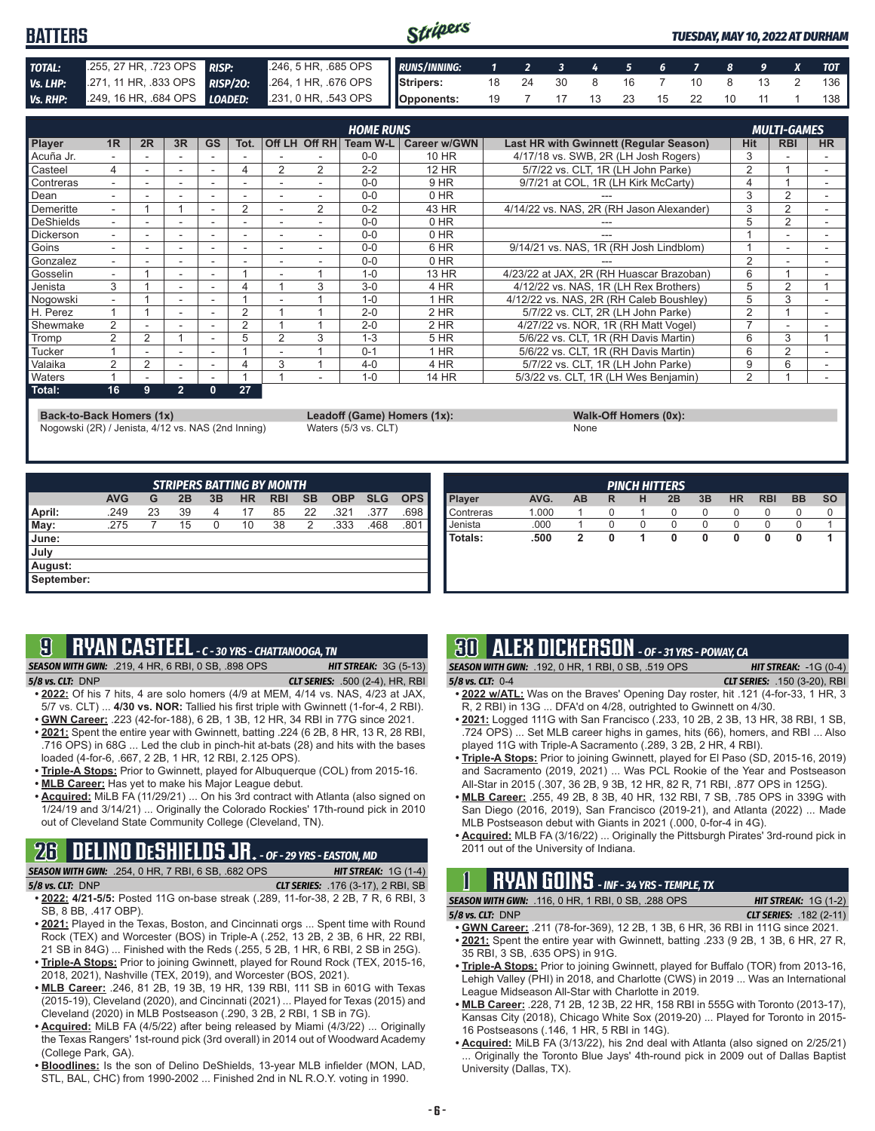#### Stripers **BATTERS** *TUESDAY, MAY 10, 2022 AT DURHAM TOTAL:* .255, 27 HR, .723 OPS *RISP:* .246, 5 HR, .685 OPS *RUNS/INNING: 1 2 3 4 5 6 7 8 9 X TOT Vs. LHP:* .271, 11 HR, .833 OPS *RISP/2O:* .264, 1 HR, .676 OPS **Stripers:** 18 24 30 8 16 7 10 8 13 2 136 *Vs. RHP:* .249, 16 HR, .684 OPS *LOADED:* .231, 0 HR, .543 OPS **Opponents:** 19 7 17 13 23 15 22 10 11 1 138

| <b>HOME RUNS</b>   |                |                |                          |           |                |                          | <b>MULTI-GAMES</b>       |          |                     |                                               |                |                |           |
|--------------------|----------------|----------------|--------------------------|-----------|----------------|--------------------------|--------------------------|----------|---------------------|-----------------------------------------------|----------------|----------------|-----------|
| <b>Player</b>      | 1 <sub>R</sub> | 2R             | 3R                       | <b>GS</b> | Tot.           |                          | Off LH Off RH            | Team W-L | <b>Career w/GWN</b> | <b>Last HR with Gwinnett (Regular Season)</b> | <b>Hit</b>     | <b>RBI</b>     | <b>HR</b> |
| Acuña Jr.          |                |                |                          |           |                |                          |                          | $0 - 0$  | 10 HR               | 4/17/18 vs. SWB, 2R (LH Josh Rogers)          | 3              |                |           |
| Casteel            | 4              |                | $\overline{\phantom{a}}$ | ٠         | 4              | 2                        | 2                        | $2 - 2$  | <b>12 HR</b>        | 5/7/22 vs. CLT. 1R (LH John Parke)            | $\overline{2}$ |                | ٠         |
| Contreras          |                |                |                          |           |                |                          |                          | $0 - 0$  | 9 HR                | 9/7/21 at COL, 1R (LH Kirk McCarty)           |                |                |           |
| Dean               |                |                |                          |           |                |                          |                          | $0 - 0$  | $0$ HR              |                                               | 3              | $\overline{2}$ |           |
| Demeritte          | ۰.             |                |                          |           | 2              | $\overline{\phantom{a}}$ | $\overline{2}$           | $0 - 2$  | 43 HR               | 4/14/22 vs. NAS, 2R (RH Jason Alexander)      | 3              | 2              | ۰         |
| DeShields          |                |                |                          |           |                |                          |                          | $0 - 0$  | $0$ HR              |                                               | 5              | $\overline{2}$ |           |
| <b>Dickerson</b>   | ۰.             |                |                          |           |                |                          |                          | $0 - 0$  | 0 HR                |                                               |                |                |           |
| Goins              |                |                | $\overline{\phantom{a}}$ |           | -              | $\overline{\phantom{a}}$ | $\overline{\phantom{a}}$ | $0 - 0$  | 6 HR                | 9/14/21 vs. NAS, 1R (RH Josh Lindblom)        |                |                |           |
| Gonzalez           |                |                |                          |           |                |                          |                          | $0 - 0$  | $0$ HR              |                                               | 2              |                |           |
| Gosselin           | ۰.             |                |                          |           |                |                          |                          | $1 - 0$  | 13 HR               | 4/23/22 at JAX, 2R (RH Huascar Brazoban)      | 6              |                |           |
| Jenista            | 3              |                |                          |           |                |                          | 3                        | $3-0$    | 4 HR                | 4/12/22 vs. NAS, 1R (LH Rex Brothers)         | 5              | $\overline{2}$ |           |
| Nogowski           |                |                | $\overline{\phantom{a}}$ |           |                |                          |                          | $1 - 0$  | 1 HR                | 4/12/22 vs. NAS, 2R (RH Caleb Boushlev)       | 5              | 3              |           |
| H. Perez           |                |                | ٠                        |           | $\overline{2}$ |                          |                          | $2 - 0$  | 2 HR                | 5/7/22 vs. CLT. 2R (LH John Parke)            | $\overline{2}$ |                |           |
| Shewmake           | 2              |                |                          |           | $\overline{2}$ |                          |                          | $2 - 0$  | 2 HR                | 4/27/22 vs. NOR, 1R (RH Matt Vogel)           |                |                |           |
| <b>Tromp</b>       | 2              | $\overline{2}$ |                          |           | 5              | $\mathcal{P}$            | 3                        | $1 - 3$  | <b>5 HR</b>         | 5/6/22 vs. CLT, 1R (RH Davis Martin)          | 6              | 3              |           |
| Tucker             |                |                |                          |           |                |                          |                          | $0 - 1$  | 1 HR                | 5/6/22 vs. CLT, 1R (RH Davis Martin)          | 6              | $\overline{2}$ |           |
| Valaika            | 2              | 2              |                          |           |                | 3                        |                          | $4 - 0$  | 4 HR                | 5/7/22 vs. CLT, 1R (LH John Parke)            | 9              | 6              |           |
| <b>Naters</b>      |                | ٠              | $\overline{\phantom{a}}$ |           |                |                          |                          | $1 - 0$  | 14 HR               | 5/3/22 vs. CLT. 1R (LH Wes Benjamin)          | 2              |                |           |
| $\parallel$ Total: | 16             | 9              | $\overline{2}$           | 0         | 27             |                          |                          |          |                     |                                               |                |                |           |

**Back-to-Back Homers (1x) Leadoff (Game) Homers (1x): Walk-Off Homers (0x):**

Nogowski (2R) / Jenista, 4/12 vs. NAS (2nd Inning) Waters (5/3 vs. CLT) None

| <b>STRIPERS BATTING BY MONTH</b> |            |    |    |    |           |            |                |            |            |            |
|----------------------------------|------------|----|----|----|-----------|------------|----------------|------------|------------|------------|
|                                  | <b>AVG</b> | G  | 2B | 3B | <b>HR</b> | <b>RBI</b> | <b>SB</b>      | <b>OBP</b> | <b>SLG</b> | <b>OPS</b> |
| April:                           | .249       | 23 | 39 | 4  | 17        | 85         | 22             | .321       | .377       | .698       |
| May:                             | .275       |    | 15 | 0  | 10        | 38         | $\overline{2}$ | .333       | .468       | .801       |
| June:                            |            |    |    |    |           |            |                |            |            |            |
| July                             |            |    |    |    |           |            |                |            |            |            |
| August:                          |            |    |    |    |           |            |                |            |            |            |
| September:                       |            |    |    |    |           |            |                |            |            |            |

| <b>PINCH HITTERS</b> |       |    |          |   |    |    |           |            |           |           |
|----------------------|-------|----|----------|---|----|----|-----------|------------|-----------|-----------|
| Player               | AVG.  | AB | R        | н | 2B | 3B | <b>HR</b> | <b>RBI</b> | <b>BB</b> | <b>SO</b> |
| Contreras            | 1.000 |    | $\Omega$ |   | 0  | 0  | 0         | 0          | 0         |           |
| Jenista              | .000  |    | $\Omega$ | 0 | 0  | 0  | 0         | 0          |           |           |
| Totals:              | .500  | 2  | 0        | 1 | 0  | 0  | 0         | 0          | 0         |           |
|                      |       |    |          |   |    |    |           |            |           |           |
|                      |       |    |          |   |    |    |           |            |           |           |
|                      |       |    |          |   |    |    |           |            |           |           |
|                      |       |    |          |   |    |    |           |            |           |           |

# **9 RYAN CASTEEL** *- C - 30 YRS - CHATTANOOGA, TN*

*SEASON WITH GWN:*.219, 4 HR, 6 RBI, 0 SB, .898 OPS *HIT STREAK:* 3G (5-13) *5/8 vs. CLT:*DNP *CLT SERIES:* .500 (2-4), HR, RBI

- **• 2022:** Of his 7 hits, 4 are solo homers (4/9 at MEM, 4/14 vs. NAS, 4/23 at JAX, 5/7 vs. CLT) ... **4/30 vs. NOR:** Tallied his first triple with Gwinnett (1-for-4, 2 RBI). **• GWN Career:** .223 (42-for-188), 6 2B, 1 3B, 12 HR, 34 RBI in 77G since 2021.
- **• 2021:** Spent the entire year with Gwinnett, batting .224 (6 2B, 8 HR, 13 R, 28 RBI, .716 OPS) in 68G ... Led the club in pinch-hit at-bats (28) and hits with the bases loaded (4-for-6, .667, 2 2B, 1 HR, 12 RBI, 2.125 OPS).
- **• Triple-A Stops:** Prior to Gwinnett, played for Albuquerque (COL) from 2015-16.
- **• MLB Career:** Has yet to make his Major League debut.
- **• Acquired:** MiLB FA (11/29/21) ... On his 3rd contract with Atlanta (also signed on 1/24/19 and 3/14/21) ... Originally the Colorado Rockies' 17th-round pick in 2010 out of Cleveland State Community College (Cleveland, TN).

# **26 DELINO DESHIELDS JR.** *- OF - 29 YRS - EASTON, MD*

*SEASON WITH GWN:*.254, 0 HR, 7 RBI, 6 SB, .682 OPS *HIT STREAK:* 1G (1-4)

- *5/8 vs. CLT:*DNP *CLT SERIES:* .176 (3-17), 2 RBI, SB **• 2022: 4/21-5/5:** Posted 11G on-base streak (.289, 11-for-38, 2 2B, 7 R, 6 RBI, 3 SB, 8 BB, .417 OBP).
- **• 2021:** Played in the Texas, Boston, and Cincinnati orgs ... Spent time with Round Rock (TEX) and Worcester (BOS) in Triple-A (.252, 13 2B, 2 3B, 6 HR, 22 RBI, 21 SB in 84G) ... Finished with the Reds (.255, 5 2B, 1 HR, 6 RBI, 2 SB in 25G).
- **• Triple-A Stops:** Prior to joining Gwinnett, played for Round Rock (TEX, 2015-16, 2018, 2021), Nashville (TEX, 2019), and Worcester (BOS, 2021).
- **• MLB Career:** .246, 81 2B, 19 3B, 19 HR, 139 RBI, 111 SB in 601G with Texas (2015-19), Cleveland (2020), and Cincinnati (2021) ... Played for Texas (2015) and Cleveland (2020) in MLB Postseason (.290, 3 2B, 2 RBI, 1 SB in 7G).
- **• Acquired:** MiLB FA (4/5/22) after being released by Miami (4/3/22) ... Originally the Texas Rangers' 1st-round pick (3rd overall) in 2014 out of Woodward Academy (College Park, GA).
- **• Bloodlines:** Is the son of Delino DeShields, 13-year MLB infielder (MON, LAD, STL, BAL, CHC) from 1990-2002 ... Finished 2nd in NL R.O.Y. voting in 1990.

# **30 ALEX DICKERSON** *- OF - 31 YRS - POWAY, CA*

*SEASON WITH GWN:*.192, 0 HR, 1 RBI, 0 SB, .519 OPS *HIT STREAK:* -1G (0-4) *5/8 vs. CLT:*0-4 *CLT SERIES:* .150 (3-20), RBI

- **• 2022 w/ATL:** Was on the Braves' Opening Day roster, hit .121 (4-for-33, 1 HR, 3 R, 2 RBI) in 13G ... DFA'd on 4/28, outrighted to Gwinnett on 4/30.
- **• 2021:** Logged 111G with San Francisco (.233, 10 2B, 2 3B, 13 HR, 38 RBI, 1 SB, .724 OPS) ... Set MLB career highs in games, hits (66), homers, and RBI ... Also played 11G with Triple-A Sacramento (.289, 3 2B, 2 HR, 4 RBI).
- **• Triple-A Stops:** Prior to joining Gwinnett, played for El Paso (SD, 2015-16, 2019) and Sacramento (2019, 2021) ... Was PCL Rookie of the Year and Postseason All-Star in 2015 (.307, 36 2B, 9 3B, 12 HR, 82 R, 71 RBI, .877 OPS in 125G).
- **• MLB Career:** .255, 49 2B, 8 3B, 40 HR, 132 RBI, 7 SB, .785 OPS in 339G with San Diego (2016, 2019), San Francisco (2019-21), and Atlanta (2022) ... Made MLB Postseason debut with Giants in 2021 (.000, 0-for-4 in 4G).
- **• Acquired:** MLB FA (3/16/22) ... Originally the Pittsburgh Pirates' 3rd-round pick in 2011 out of the University of Indiana.

# **1 RYAN GOINS** *- INF - 34 YRS - TEMPLE, TX*

*SEASON WITH GWN:*.116, 0 HR, 1 RBI, 0 SB, .288 OPS *HIT STREAK:* 1G (1-2) *5/8 vs. CLT:*DNP *CLT SERIES:* .182 (2-11)

- **• GWN Career:** .211 (78-for-369), 12 2B, 1 3B, 6 HR, 36 RBI in 111G since 2021. **• 2021:** Spent the entire year with Gwinnett, batting .233 (9 2B, 1 3B, 6 HR, 27 R, 35 RBI, 3 SB, .635 OPS) in 91G.
- **• Triple-A Stops:** Prior to joining Gwinnett, played for Buffalo (TOR) from 2013-16, Lehigh Valley (PHI) in 2018, and Charlotte (CWS) in 2019 ... Was an International League Midseason All-Star with Charlotte in 2019.
- **• MLB Career:** .228, 71 2B, 12 3B, 22 HR, 158 RBI in 555G with Toronto (2013-17), Kansas City (2018), Chicago White Sox (2019-20) ... Played for Toronto in 2015- 16 Postseasons (.146, 1 HR, 5 RBI in 14G).
- **• Acquired:** MiLB FA (3/13/22), his 2nd deal with Atlanta (also signed on 2/25/21) Originally the Toronto Blue Jays' 4th-round pick in 2009 out of Dallas Baptist University (Dallas, TX).

**- 6 -**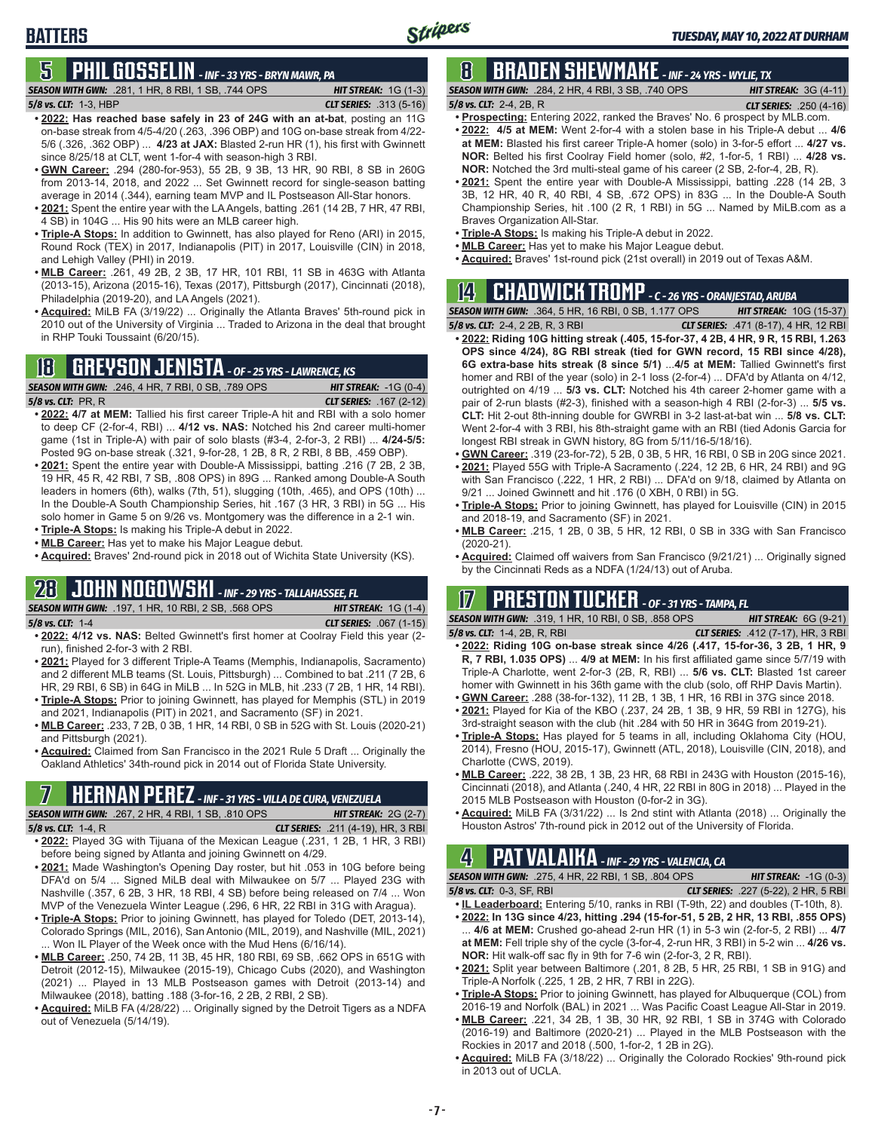## **BATTERS**

## **5 PHIL GOSSELIN** *- INF - 33 YRS - BRYN MAWR, PA*

*SEASON WITH GWN:*.281, 1 HR, 8 RBI, 1 SB, .744 OPS *HIT STREAK:* 1G (1-3)

- *5/8 vs. CLT:*1-3, HBP *CLT SERIES:* .313 (5-16)
- **• 2022: Has reached base safely in 23 of 24G with an at-bat**, posting an 11G on-base streak from 4/5-4/20 (.263, .396 OBP) and 10G on-base streak from 4/22- 5/6 (.326, .362 OBP) ... **4/23 at JAX:** Blasted 2-run HR (1), his first with Gwinnett since 8/25/18 at CLT, went 1-for-4 with season-high 3 RBI.
- **• GWN Career:** .294 (280-for-953), 55 2B, 9 3B, 13 HR, 90 RBI, 8 SB in 260G from 2013-14, 2018, and 2022 ... Set Gwinnett record for single-season batting average in 2014 (.344), earning team MVP and IL Postseason All-Star honors.
- **• 2021:** Spent the entire year with the LA Angels, batting .261 (14 2B, 7 HR, 47 RBI, 4 SB) in 104G ... His 90 hits were an MLB career high.
- **• Triple-A Stops:** In addition to Gwinnett, has also played for Reno (ARI) in 2015, Round Rock (TEX) in 2017, Indianapolis (PIT) in 2017, Louisville (CIN) in 2018, and Lehigh Valley (PHI) in 2019.
- **• MLB Career:** .261, 49 2B, 2 3B, 17 HR, 101 RBI, 11 SB in 463G with Atlanta (2013-15), Arizona (2015-16), Texas (2017), Pittsburgh (2017), Cincinnati (2018), Philadelphia (2019-20), and LA Angels (2021).
- **• Acquired:** MiLB FA (3/19/22) ... Originally the Atlanta Braves' 5th-round pick in 2010 out of the University of Virginia ... Traded to Arizona in the deal that brought in RHP Touki Toussaint (6/20/15).

## **18 GREYSON JENISTA** *- OF - 25 YRS - LAWRENCE, KS*

*SEASON WITH GWN:*.246, 4 HR, 7 RBI, 0 SB, .789 OPS *HIT STREAK:* -1G (0-4)

*5/8 vs. CLT:*PR, R *CLT SERIES:* .167 (2-12)

- **• 2022: 4/7 at MEM:** Tallied his first career Triple-A hit and RBI with a solo homer to deep CF (2-for-4, RBI) ... **4/12 vs. NAS:** Notched his 2nd career multi-homer game (1st in Triple-A) with pair of solo blasts (#3-4, 2-for-3, 2 RBI) ... **4/24-5/5:**  Posted 9G on-base streak (.321, 9-for-28, 1 2B, 8 R, 2 RBI, 8 BB, .459 OBP).
- **• 2021:** Spent the entire year with Double-A Mississippi, batting .216 (7 2B, 2 3B, 19 HR, 45 R, 42 RBI, 7 SB, .808 OPS) in 89G ... Ranked among Double-A South leaders in homers (6th), walks (7th, 51), slugging (10th, .465), and OPS (10th) ... In the Double-A South Championship Series, hit .167 (3 HR, 3 RBI) in 5G ... His solo homer in Game 5 on 9/26 vs. Montgomery was the difference in a 2-1 win.
- **• Triple-A Stops:** Is making his Triple-A debut in 2022. **• MLB Career:** Has yet to make his Major League debut.
- **• Acquired:** Braves' 2nd-round pick in 2018 out of Wichita State University (KS).

## **28 JOHN NOGOWSKI** *- INF - 29 YRS - TALLAHASSEE, FL SEASON WITH GWN:*.197, 1 HR, 10 RBI, 2 SB, .568 OPS *HIT STREAK:* 1G (1-4)

*5/8 vs. CLT:*1-4 *CLT SERIES:* .067 (1-15)

- **• 2022: 4/12 vs. NAS:** Belted Gwinnett's first homer at Coolray Field this year (2 run), finished 2-for-3 with 2 RBI.
- **• 2021:** Played for 3 different Triple-A Teams (Memphis, Indianapolis, Sacramento) and 2 different MLB teams (St. Louis, Pittsburgh) ... Combined to bat .211 (7 2B, 6 HR, 29 RBI, 6 SB) in 64G in MiLB ... In 52G in MLB, hit .233 (7 2B, 1 HR, 14 RBI).
- **• Triple-A Stops:** Prior to joining Gwinnett, has played for Memphis (STL) in 2019 and 2021, Indianapolis (PIT) in 2021, and Sacramento (SF) in 2021.
- **• MLB Career:** .233, 7 2B, 0 3B, 1 HR, 14 RBI, 0 SB in 52G with St. Louis (2020-21) and Pittsburgh (2021).
- **• Acquired:** Claimed from San Francisco in the 2021 Rule 5 Draft ... Originally the Oakland Athletics' 34th-round pick in 2014 out of Florida State University.

# **7 HERNAN PEREZ** *- INF - 31 YRS - VILLA DE CURA, VENEZUELA*

*SEASON WITH GWN:*.267, 2 HR, 4 RBI, 1 SB, .810 OPS *HIT STREAK:* 2G (2-7) *5/8 vs. CLT:*1-4, R *CLT SERIES:* .211 (4-19), HR, 3 RBI

- **• 2022:** Played 3G with Tijuana of the Mexican League (.231, 1 2B, 1 HR, 3 RBI) before being signed by Atlanta and joining Gwinnett on 4/29.
- **• 2021:** Made Washington's Opening Day roster, but hit .053 in 10G before being DFA'd on 5/4 ... Signed MiLB deal with Milwaukee on 5/7 ... Played 23G with Nashville (.357, 6 2B, 3 HR, 18 RBI, 4 SB) before being released on 7/4 ... Won MVP of the Venezuela Winter League (.296, 6 HR, 22 RBI in 31G with Aragua).
- **• Triple-A Stops:** Prior to joining Gwinnett, has played for Toledo (DET, 2013-14), Colorado Springs (MIL, 2016), San Antonio (MIL, 2019), and Nashville (MIL, 2021) ... Won IL Player of the Week once with the Mud Hens (6/16/14).
- **• MLB Career:** .250, 74 2B, 11 3B, 45 HR, 180 RBI, 69 SB, .662 OPS in 651G with Detroit (2012-15), Milwaukee (2015-19), Chicago Cubs (2020), and Washington (2021) ... Played in 13 MLB Postseason games with Detroit (2013-14) and Milwaukee (2018), batting .188 (3-for-16, 2 2B, 2 RBI, 2 SB).
- **• Acquired:** MiLB FA (4/28/22) ... Originally signed by the Detroit Tigers as a NDFA out of Venezuela (5/14/19).

# **8 BRADEN SHEWMAKE** *- INF - 24 YRS - WYLIE, TX*

*SEASON WITH GWN:*.284, 2 HR, 4 RBI, 3 SB, .740 OPS *HIT STREAK:* 3G (4-11)

#### *5/8 vs. CLT:*2-4, 2B, R *CLT SERIES:* .250 (4-16)

- **• Prospecting:** Entering 2022, ranked the Braves' No. 6 prospect by MLB.com. **• 2022: 4/5 at MEM:** Went 2-for-4 with a stolen base in his Triple-A debut ... **4/6 at MEM:** Blasted his first career Triple-A homer (solo) in 3-for-5 effort ... **4/27 vs. NOR:** Belted his first Coolray Field homer (solo, #2, 1-for-5, 1 RBI) ... **4/28 vs. NOR:** Notched the 3rd multi-steal game of his career (2 SB, 2-for-4, 2B, R).
- **• 2021:** Spent the entire year with Double-A Mississippi, batting .228 (14 2B, 3 3B, 12 HR, 40 R, 40 RBI, 4 SB, .672 OPS) in 83G ... In the Double-A South Championship Series, hit .100 (2 R, 1 RBI) in 5G ... Named by MiLB.com as a Braves Organization All-Star.
- **• Triple-A Stops:** Is making his Triple-A debut in 2022.
- **• MLB Career:** Has yet to make his Major League debut.
- **• Acquired:** Braves' 1st-round pick (21st overall) in 2019 out of Texas A&M.

# **14 CHADWICK TROMP** *- C - 26 YRS - ORANJESTAD, ARUBA*

|                              | <b>SEASON WITH GWN: 364, 5 HR, 16 RBI, 0 SB, 1.177 OPS</b> | <b>HIT STREAK: 10G (15-37)</b>              |  |
|------------------------------|------------------------------------------------------------|---------------------------------------------|--|
| $E/O$ we $EIT: 2A22R$ $D22R$ |                                                            | $CIT$ CEDIEC. $A74 (9.17)$ $A$ LID $12$ DRI |  |

- *5/8 vs. CLT:*2-4, 2 2B, R, 3 RBI *CLT SERIES:* .471 (8-17), 4 HR, 12 RBI **• 2022: Riding 10G hitting streak (.405, 15-for-37, 4 2B, 4 HR, 9 R, 15 RBI, 1.263 OPS since 4/24), 8G RBI streak (tied for GWN record, 15 RBI since 4/28), 6G extra-base hits streak (8 since 5/1)** ...**4/5 at MEM:** Tallied Gwinnett's first homer and RBI of the year (solo) in 2-1 loss (2-for-4) ... DFA'd by Atlanta on 4/12, outrighted on 4/19 ... **5/3 vs. CLT:** Notched his 4th career 2-homer game with a pair of 2-run blasts (#2-3), finished with a season-high 4 RBI (2-for-3) ... **5/5 vs. CLT:** Hit 2-out 8th-inning double for GWRBI in 3-2 last-at-bat win ... **5/8 vs. CLT:** Went 2-for-4 with 3 RBI, his 8th-straight game with an RBI (tied Adonis Garcia for longest RBI streak in GWN history, 8G from 5/11/16-5/18/16).
- **• GWN Career:** .319 (23-for-72), 5 2B, 0 3B, 5 HR, 16 RBI, 0 SB in 20G since 2021. **• 2021:** Played 55G with Triple-A Sacramento (.224, 12 2B, 6 HR, 24 RBI) and 9G
- with San Francisco (.222, 1 HR, 2 RBI) ... DFA'd on 9/18, claimed by Atlanta on 9/21 ... Joined Gwinnett and hit .176 (0 XBH, 0 RBI) in 5G.
- **• Triple-A Stops:** Prior to joining Gwinnett, has played for Louisville (CIN) in 2015 and 2018-19, and Sacramento (SF) in 2021.
- **• MLB Career:** .215, 1 2B, 0 3B, 5 HR, 12 RBI, 0 SB in 33G with San Francisco (2020-21).
- **• Acquired:** Claimed off waivers from San Francisco (9/21/21) ... Originally signed by the Cincinnati Reds as a NDFA (1/24/13) out of Aruba.

## **17 PRESTON TUCKER** *- OF - 31 YRS - TAMPA, FL*

*SEASON WITH GWN:*.319, 1 HR, 10 RBI, 0 SB, .858 OPS *HIT STREAK:* 6G (9-21)

- *5/8 vs. CLT:*1-4, 2B, R, RBI *CLT SERIES:* .412 (7-17), HR, 3 RBI **• 2022: Riding 10G on-base streak since 4/26 (.417, 15-for-36, 3 2B, 1 HR, 9 R, 7 RBI, 1.035 OPS)** ... **4/9 at MEM:** In his first affiliated game since 5/7/19 with Triple-A Charlotte, went 2-for-3 (2B, R, RBI) ... **5/6 vs. CLT:** Blasted 1st career homer with Gwinnett in his 36th game with the club (solo, off RHP Davis Martin).
- **• GWN Career:** .288 (38-for-132), 11 2B, 1 3B, 1 HR, 16 RBI in 37G since 2018. **• 2021:** Played for Kia of the KBO (.237, 24 2B, 1 3B, 9 HR, 59 RBI in 127G), his 3rd-straight season with the club (hit .284 with 50 HR in 364G from 2019-21).
- **• Triple-A Stops:** Has played for 5 teams in all, including Oklahoma City (HOU, 2014), Fresno (HOU, 2015-17), Gwinnett (ATL, 2018), Louisville (CIN, 2018), and Charlotte (CWS, 2019).
- **• MLB Career:** .222, 38 2B, 1 3B, 23 HR, 68 RBI in 243G with Houston (2015-16), Cincinnati (2018), and Atlanta (.240, 4 HR, 22 RBI in 80G in 2018) ... Played in the 2015 MLB Postseason with Houston (0-for-2 in 3G).
- **• Acquired:** MiLB FA (3/31/22) ... Is 2nd stint with Atlanta (2018) ... Originally the Houston Astros' 7th-round pick in 2012 out of the University of Florida.

# **4 PAT VALAIKA** *- INF - 29 YRS - VALENCIA, CA*

*SEASON WITH GWN:*.275, 4 HR, 22 RBI, 1 SB, .804 OPS *HIT STREAK:* -1G (0-3) *5/8 vs. CLT:*0-3, SF, RBI *CLT SERIES:* .227 (5-22), 2 HR, 5 RBI

- **• IL Leaderboard:** Entering 5/10, ranks in RBI (T-9th, 22) and doubles (T-10th, 8). **• 2022: In 13G since 4/23, hitting .294 (15-for-51, 5 2B, 2 HR, 13 RBI, .855 OPS)** ... **4/6 at MEM:** Crushed go-ahead 2-run HR (1) in 5-3 win (2-for-5, 2 RBI) ... **4/7 at MEM:** Fell triple shy of the cycle (3-for-4, 2-run HR, 3 RBI) in 5-2 win ... **4/26 vs. NOR:** Hit walk-off sac fly in 9th for 7-6 win (2-for-3, 2 R, RBI).
- **• 2021:** Split year between Baltimore (.201, 8 2B, 5 HR, 25 RBI, 1 SB in 91G) and Triple-A Norfolk (.225, 1 2B, 2 HR, 7 RBI in 22G).
- **• Triple-A Stops:** Prior to joining Gwinnett, has played for Albuquerque (COL) from
- 2016-19 and Norfolk (BAL) in 2021 ... Was Pacific Coast League All-Star in 2019. **• MLB Career:** .221, 34 2B, 1 3B, 30 HR, 92 RBI, 1 SB in 374G with Colorado (2016-19) and Baltimore (2020-21) ... Played in the MLB Postseason with the
- Rockies in 2017 and 2018 (.500, 1-for-2, 1 2B in 2G). **• Acquired:** MiLB FA (3/18/22) ... Originally the Colorado Rockies' 9th-round pick in 2013 out of UCLA.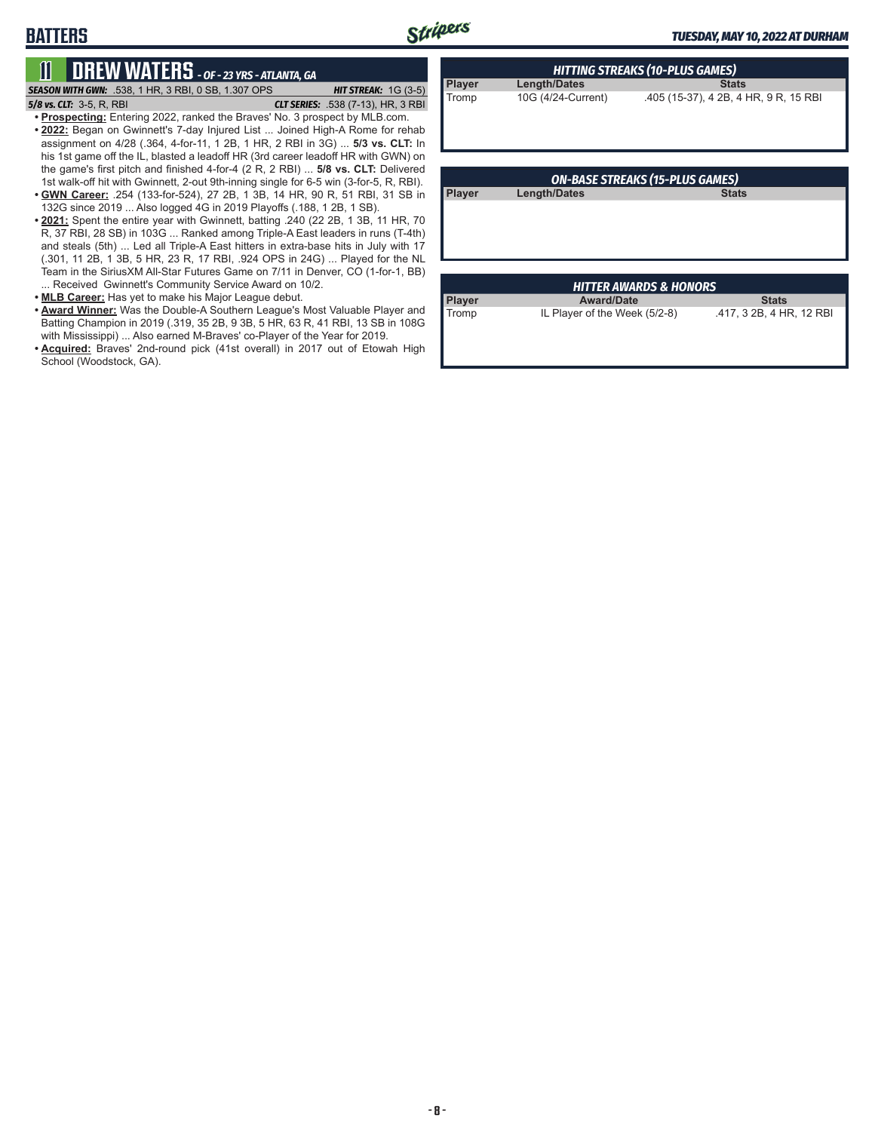

### **11 DREW WATERS** *- OF - 23 YRS - ATLANTA, GA SEASON WITH GWN:*.538, 1 HR, 3 RBI, 0 SB, 1.307 OPS *HIT STREAK:* 1G (3-5)

**BATTERS**

*5/8 vs. CLT:*3-5, R, RBI *CLT SERIES:* .538 (7-13), HR, 3 RBI

- **• Prospecting:** Entering 2022, ranked the Braves' No. 3 prospect by MLB.com. **• 2022:** Began on Gwinnett's 7-day Injured List ... Joined High-A Rome for rehab assignment on 4/28 (.364, 4-for-11, 1 2B, 1 HR, 2 RBI in 3G) ... **5/3 vs. CLT:** In his 1st game off the IL, blasted a leadoff HR (3rd career leadoff HR with GWN) on the game's first pitch and finished 4-for-4 (2 R, 2 RBI) ... **5/8 vs. CLT:** Delivered 1st walk-off hit with Gwinnett, 2-out 9th-inning single for 6-5 win (3-for-5, R, RBI). **• GWN Career:** .254 (133-for-524), 27 2B, 1 3B, 14 HR, 90 R, 51 RBI, 31 SB in
- 132G since 2019 ... Also logged 4G in 2019 Playoffs (.188, 1 2B, 1 SB).
- **• 2021:** Spent the entire year with Gwinnett, batting .240 (22 2B, 1 3B, 11 HR, 70 R, 37 RBI, 28 SB) in 103G ... Ranked among Triple-A East leaders in runs (T-4th) and steals (5th) ... Led all Triple-A East hitters in extra-base hits in July with 17 (.301, 11 2B, 1 3B, 5 HR, 23 R, 17 RBI, .924 OPS in 24G) ... Played for the NL Team in the SiriusXM All-Star Futures Game on 7/11 in Denver, CO (1-for-1, BB) ... Received Gwinnett's Community Service Award on 10/2.
- **• MLB Career:** Has yet to make his Major League debut.
- **• Award Winner:** Was the Double-A Southern League's Most Valuable Player and Batting Champion in 2019 (.319, 35 2B, 9 3B, 5 HR, 63 R, 41 RBI, 13 SB in 108G with Mississippi) ... Also earned M-Braves' co-Player of the Year for 2019.
- **• Acquired:** Braves' 2nd-round pick (41st overall) in 2017 out of Etowah High School (Woodstock, GA).

| <b>HITTING STREAKS (10-PLUS GAMES)</b> |                     |                                       |  |  |  |
|----------------------------------------|---------------------|---------------------------------------|--|--|--|
| <b>Player</b>                          | <b>Length/Dates</b> | <b>Stats</b>                          |  |  |  |
| Tromp                                  | 10G (4/24-Current)  | .405 (15-37), 4 2B, 4 HR, 9 R, 15 RBI |  |  |  |
|                                        |                     |                                       |  |  |  |
| <b>ON-BASE STREAKS (15-PLUS GAMES)</b> |                     |                                       |  |  |  |

**Player Length/Dates Stats**

| <b>HITTER AWARDS &amp; HONORS</b> |                               |                          |  |  |  |
|-----------------------------------|-------------------------------|--------------------------|--|--|--|
| <b>Player</b>                     | <b>Award/Date</b>             | <b>Stats</b>             |  |  |  |
| Tromp                             | IL Player of the Week (5/2-8) | .417, 3 2B, 4 HR, 12 RBI |  |  |  |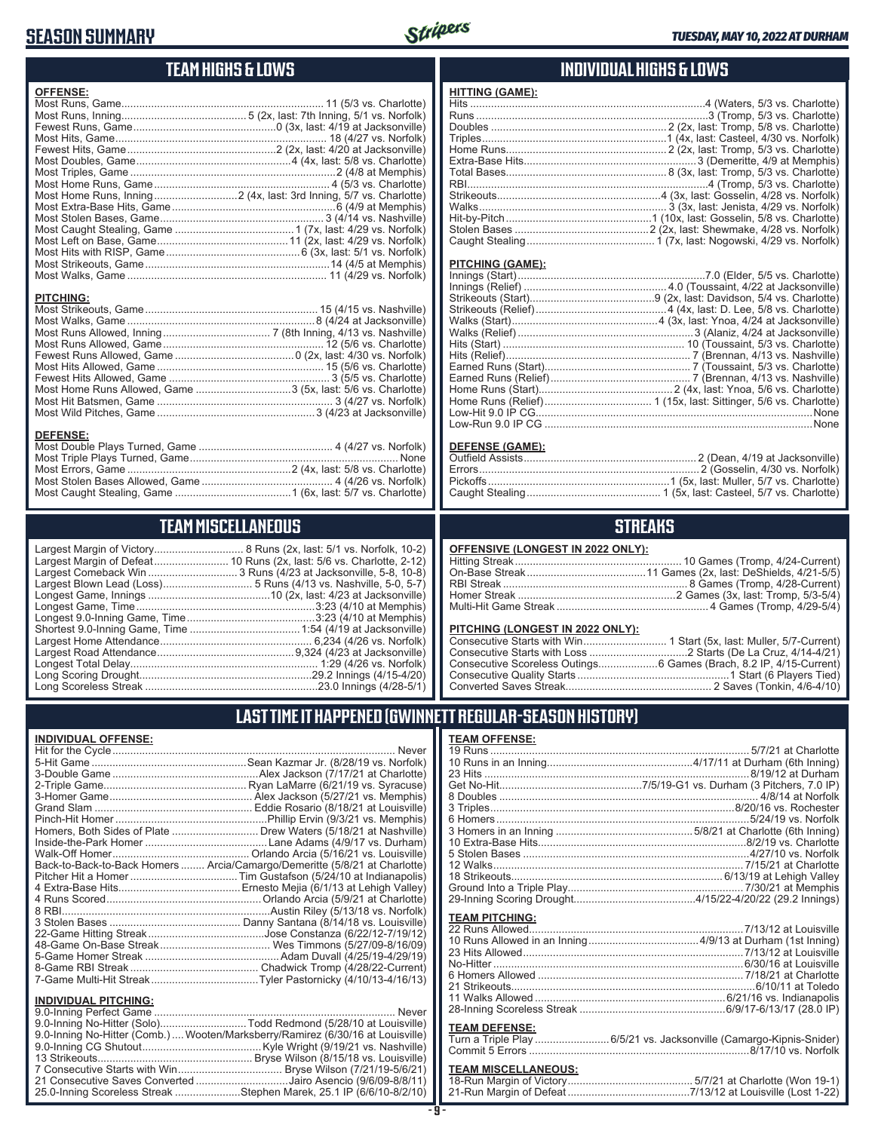## **SEASON SUMMARY**



| <b>OFFENSE:</b><br><b>PITCHING:</b> | Most Home Runs Allowed, Game 3 (5x, last: 5/6 vs. Charlotte) | <b>HITTING (GAME):</b><br>Hits<br>Runs<br>Doubles<br>Triples<br>Home Runs<br>Extra-Base Hits<br>Total Bases<br>RBI<br>Strikeouts<br>Walks<br>Hit-bv-Pitch<br>Stolen Bases<br>Caught Stealing<br><b>PITCHING (GAME):</b><br>Innings (Start)<br>Innings (Relief)<br>Strikeouts (Start)<br>Strikeouts (Relief)<br>Walks (Start)<br>Walks (Relief)<br>Hits (Start)<br>Hits (Relief)<br>Earned Runs (Start)<br>Earned Runs (Relief)<br>Home Runs (Start) |
|-------------------------------------|--------------------------------------------------------------|-----------------------------------------------------------------------------------------------------------------------------------------------------------------------------------------------------------------------------------------------------------------------------------------------------------------------------------------------------------------------------------------------------------------------------------------------------|
|                                     |                                                              | Home Runs (Relief)<br>Low-Hit 9.0 IP CG<br>Low-Run 9.0 IP CG                                                                                                                                                                                                                                                                                                                                                                                        |
| <b>DEFENSE:</b>                     |                                                              | DEFENSE (GAME):<br>Outfield Assists<br>Errors<br>Pickoffs<br>Caught Stealing                                                                                                                                                                                                                                                                                                                                                                        |
|                                     | <b>TEAM MISCELLANEOUS</b>                                    |                                                                                                                                                                                                                                                                                                                                                                                                                                                     |
|                                     |                                                              | <b>OFFENSIVE (LONGES</b><br>Hitting Streak<br>On-Base Streak<br><b>RBI Streak</b><br>Homer Streak<br>Multi-Hit Game Streak                                                                                                                                                                                                                                                                                                                          |

**TEAM HIGHS & LOWS**

### **INDIVIDUAL HIGHS & LOWS**

### **STREAKS**

**T IN 2022 ONLY):** 

### **PITCHING (LONGEST IN 2022 ONLY):**

## **LAST TIME IT HAPPENED (GWINNETT REGULAR-SEASON HISTORY)**

| <b>TEAM OFFENSE:</b>       |                                                                     |
|----------------------------|---------------------------------------------------------------------|
|                            |                                                                     |
|                            |                                                                     |
|                            |                                                                     |
|                            |                                                                     |
|                            |                                                                     |
|                            |                                                                     |
|                            |                                                                     |
|                            |                                                                     |
|                            |                                                                     |
|                            |                                                                     |
|                            |                                                                     |
|                            |                                                                     |
|                            |                                                                     |
|                            |                                                                     |
|                            |                                                                     |
| <b>TEAM PITCHING:</b>      |                                                                     |
|                            |                                                                     |
|                            |                                                                     |
|                            |                                                                     |
|                            |                                                                     |
|                            |                                                                     |
|                            |                                                                     |
|                            |                                                                     |
|                            |                                                                     |
|                            |                                                                     |
| <b>TEAM DEFENSE:</b>       |                                                                     |
|                            | Turn a Triple Play  6/5/21 vs. Jacksonville (Camargo-Kipnis-Snider) |
|                            |                                                                     |
| <b>TEAM MISCELLANEOUS:</b> |                                                                     |

### **TEAM MISCELLANEOUS:**

### **INDIVIDUAL OFFENSE:**

| Homers, Both Sides of Plate  Drew Waters (5/18/21 at Nashville)            |
|----------------------------------------------------------------------------|
|                                                                            |
|                                                                            |
| Back-to-Back-to-Back Homers  Arcia/Camargo/Demeritte (5/8/21 at Charlotte) |
|                                                                            |
|                                                                            |
|                                                                            |
|                                                                            |
|                                                                            |
|                                                                            |
|                                                                            |
|                                                                            |
|                                                                            |
|                                                                            |
|                                                                            |

#### **INDIVIDUAL PITCHING:**

| 9.0-Inning No-Hitter (Solo)Todd Redmond (5/28/10 at Louisville)                |
|--------------------------------------------------------------------------------|
| 9.0-Inning No-Hitter (Comb.) Wooten/Marksberry/Ramirez (6/30/16 at Louisville) |
|                                                                                |
|                                                                                |
|                                                                                |
| 21 Consecutive Saves Converted Jairo Asencio (9/6/09-8/8/11)                   |
| 25.0-Inning Scoreless Streak Stephen Marek, 25.1 IP (6/6/10-8/2/10)            |

Longest 9.0-Inning Game, Time ...........................................3:23 (4/10 at Memphis) Shortest 9.0-Inning Game, Time .....................................1:54 (4/19 at Jacksonville) Largest Home Attendance ................................................... 6,234 (4/26 vs. Norfolk) Largest Road Attendance ..............................................9,324 (4/23 at Jacksonville) Longest Total Delay............................................................... 1:29 (4/26 vs. Norfolk) Long Scoring Drought..........................................................29.2 Innings (4/15-4/20) Long Scoreless Streak ..........................................................23.0 Innings (4/28-5/1)